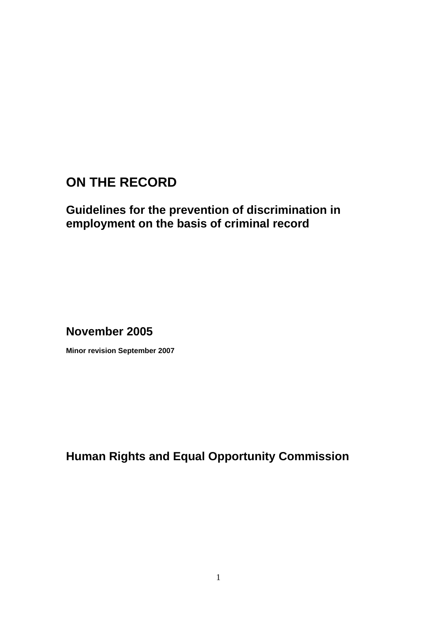# **ON THE RECORD**

# **Guidelines for the prevention of discrimination in employment on the basis of criminal record**

**November 2005** 

**Minor revision September 2007** 

**Human Rights and Equal Opportunity Commission**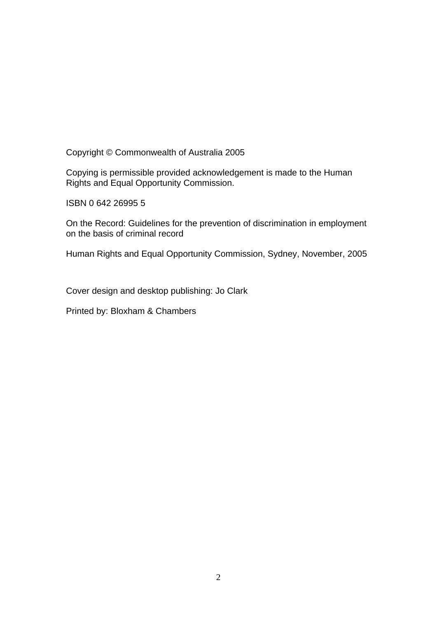Copyright © Commonwealth of Australia 2005

Copying is permissible provided acknowledgement is made to the Human Rights and Equal Opportunity Commission.

ISBN 0 642 26995 5

On the Record: Guidelines for the prevention of discrimination in employment on the basis of criminal record

Human Rights and Equal Opportunity Commission, Sydney, November, 2005

Cover design and desktop publishing: Jo Clark

Printed by: Bloxham & Chambers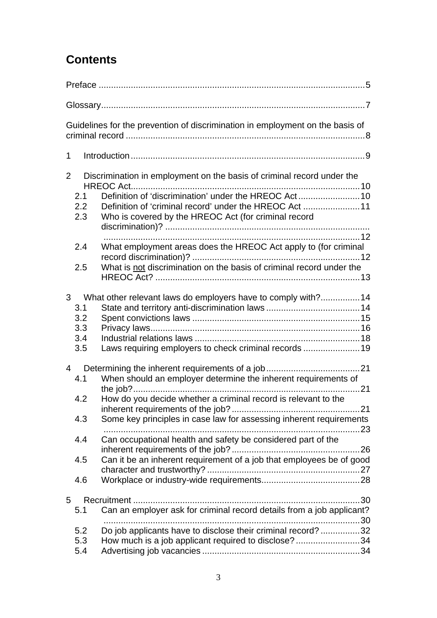# **Contents**

| Guidelines for the prevention of discrimination in employment on the basis of                                                                                                                                                                                                                                                                                                                                    |
|------------------------------------------------------------------------------------------------------------------------------------------------------------------------------------------------------------------------------------------------------------------------------------------------------------------------------------------------------------------------------------------------------------------|
| $\mathbf 1$                                                                                                                                                                                                                                                                                                                                                                                                      |
| Discrimination in employment on the basis of criminal record under the<br>2<br>2.1<br>Definition of 'criminal record' under the HREOC Act 11<br>2.2<br>2.3<br>Who is covered by the HREOC Act (for criminal record                                                                                                                                                                                               |
| What employment areas does the HREOC Act apply to (for criminal<br>2.4<br>What is not discrimination on the basis of criminal record under the<br>2.5                                                                                                                                                                                                                                                            |
| 3 <sup>7</sup><br>What other relevant laws do employers have to comply with? 14<br>3.1<br>3.2<br>3.3<br>3.4<br>Laws requiring employers to check criminal records  19<br>3.5                                                                                                                                                                                                                                     |
| $\overline{4}$<br>When should an employer determine the inherent requirements of<br>4.1<br>the job?<br>How do you decide whether a criminal record is relevant to the<br>4.2<br>Some key principles in case law for assessing inherent requirements<br>4.3<br>Can occupational health and safety be considered part of the<br>4.4<br>Can it be an inherent requirement of a job that employees be of good<br>4.5 |
| 4.6<br>5                                                                                                                                                                                                                                                                                                                                                                                                         |
| Can an employer ask for criminal record details from a job applicant?<br>5.1<br>Do job applicants have to disclose their criminal record? 32<br>5.2<br>How much is a job applicant required to disclose?34<br>5.3<br>5.4                                                                                                                                                                                         |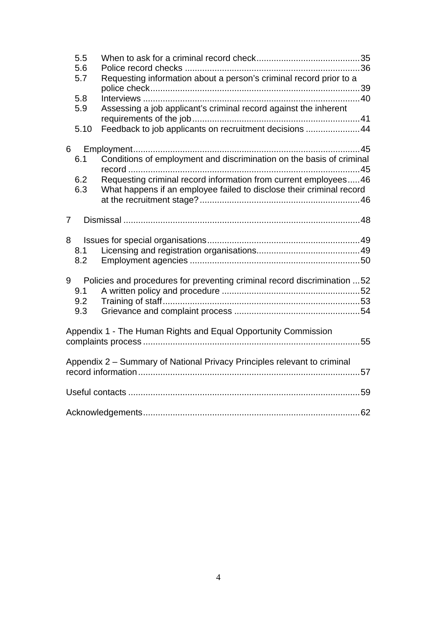|                                                                          | 5.5<br>5.6 |                                                                          |  |  |  |
|--------------------------------------------------------------------------|------------|--------------------------------------------------------------------------|--|--|--|
|                                                                          | 5.7        | Requesting information about a person's criminal record prior to a       |  |  |  |
|                                                                          | 5.8        |                                                                          |  |  |  |
|                                                                          | 5.9        | Assessing a job applicant's criminal record against the inherent         |  |  |  |
|                                                                          | 5.10       | Feedback to job applicants on recruitment decisions  44                  |  |  |  |
| $6\overline{6}$                                                          |            |                                                                          |  |  |  |
|                                                                          | 6.1        | Conditions of employment and discrimination on the basis of criminal     |  |  |  |
|                                                                          | 6.2        | Requesting criminal record information from current employees46          |  |  |  |
|                                                                          | 6.3        | What happens if an employee failed to disclose their criminal record     |  |  |  |
| $\overline{7}$                                                           |            |                                                                          |  |  |  |
|                                                                          |            |                                                                          |  |  |  |
|                                                                          | 8.1<br>8.2 |                                                                          |  |  |  |
| 9                                                                        | 9.1        | Policies and procedures for preventing criminal record discrimination 52 |  |  |  |
|                                                                          | 9.2<br>9.3 |                                                                          |  |  |  |
|                                                                          |            |                                                                          |  |  |  |
| Appendix 1 - The Human Rights and Equal Opportunity Commission           |            |                                                                          |  |  |  |
| Appendix 2 - Summary of National Privacy Principles relevant to criminal |            |                                                                          |  |  |  |
|                                                                          |            |                                                                          |  |  |  |
|                                                                          |            |                                                                          |  |  |  |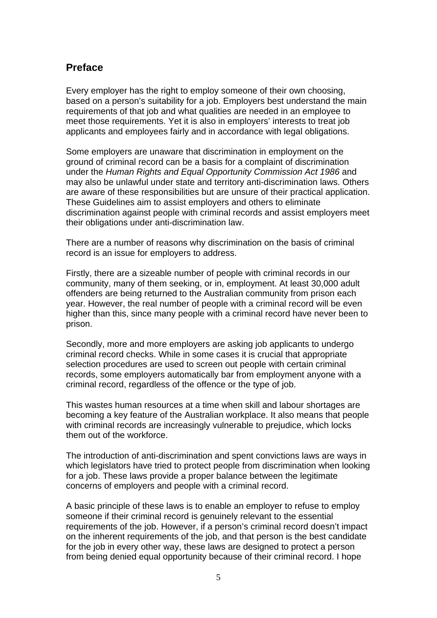## <span id="page-4-0"></span>**Preface**

Every employer has the right to employ someone of their own choosing, based on a person's suitability for a job. Employers best understand the main requirements of that job and what qualities are needed in an employee to meet those requirements. Yet it is also in employers' interests to treat job applicants and employees fairly and in accordance with legal obligations.

Some employers are unaware that discrimination in employment on the ground of criminal record can be a basis for a complaint of discrimination under the *Human Rights and Equal Opportunity Commission Act 1986* and may also be unlawful under state and territory anti-discrimination laws. Others are aware of these responsibilities but are unsure of their practical application. These Guidelines aim to assist employers and others to eliminate discrimination against people with criminal records and assist employers meet their obligations under anti-discrimination law.

There are a number of reasons why discrimination on the basis of criminal record is an issue for employers to address.

Firstly, there are a sizeable number of people with criminal records in our community, many of them seeking, or in, employment. At least 30,000 adult offenders are being returned to the Australian community from prison each year. However, the real number of people with a criminal record will be even higher than this, since many people with a criminal record have never been to prison.

Secondly, more and more employers are asking job applicants to undergo criminal record checks. While in some cases it is crucial that appropriate selection procedures are used to screen out people with certain criminal records, some employers automatically bar from employment anyone with a criminal record, regardless of the offence or the type of job.

This wastes human resources at a time when skill and labour shortages are becoming a key feature of the Australian workplace. It also means that people with criminal records are increasingly vulnerable to prejudice, which locks them out of the workforce.

The introduction of anti-discrimination and spent convictions laws are ways in which legislators have tried to protect people from discrimination when looking for a job. These laws provide a proper balance between the legitimate concerns of employers and people with a criminal record.

A basic principle of these laws is to enable an employer to refuse to employ someone if their criminal record is genuinely relevant to the essential requirements of the job. However, if a person's criminal record doesn't impact on the inherent requirements of the job, and that person is the best candidate for the job in every other way, these laws are designed to protect a person from being denied equal opportunity because of their criminal record. I hope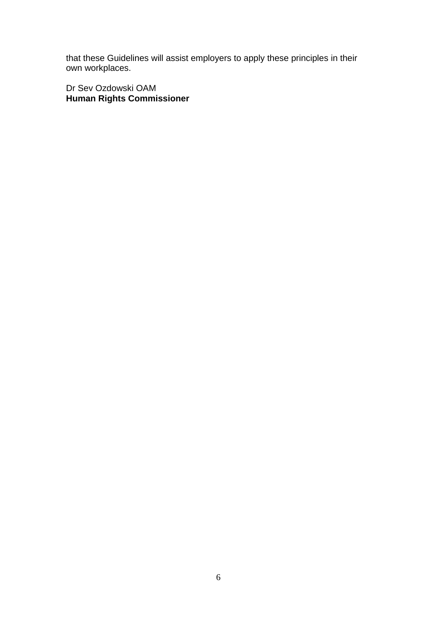that these Guidelines will assist employers to apply these principles in their own workplaces.

Dr Sev Ozdowski OAM **Human Rights Commissioner**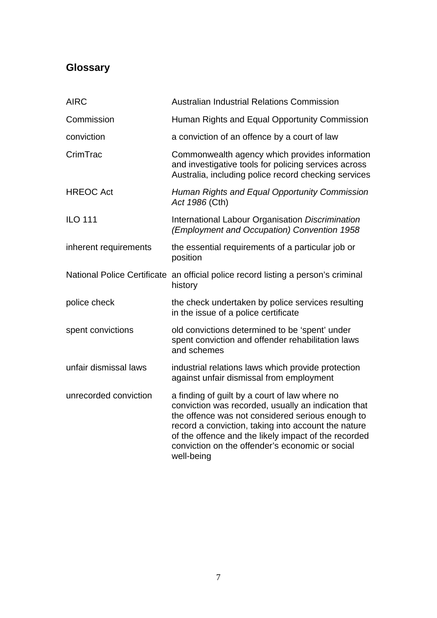# <span id="page-6-0"></span>**Glossary**

| <b>AIRC</b>           | <b>Australian Industrial Relations Commission</b>                                                                                                                                                                                                                                                                                        |
|-----------------------|------------------------------------------------------------------------------------------------------------------------------------------------------------------------------------------------------------------------------------------------------------------------------------------------------------------------------------------|
| Commission            | Human Rights and Equal Opportunity Commission                                                                                                                                                                                                                                                                                            |
| conviction            | a conviction of an offence by a court of law                                                                                                                                                                                                                                                                                             |
| CrimTrac              | Commonwealth agency which provides information<br>and investigative tools for policing services across<br>Australia, including police record checking services                                                                                                                                                                           |
| <b>HREOC Act</b>      | Human Rights and Equal Opportunity Commission<br>Act 1986 (Cth)                                                                                                                                                                                                                                                                          |
| <b>ILO 111</b>        | International Labour Organisation Discrimination<br>(Employment and Occupation) Convention 1958                                                                                                                                                                                                                                          |
| inherent requirements | the essential requirements of a particular job or<br>position                                                                                                                                                                                                                                                                            |
|                       | National Police Certificate an official police record listing a person's criminal<br>history                                                                                                                                                                                                                                             |
| police check          | the check undertaken by police services resulting<br>in the issue of a police certificate                                                                                                                                                                                                                                                |
| spent convictions     | old convictions determined to be 'spent' under<br>spent conviction and offender rehabilitation laws<br>and schemes                                                                                                                                                                                                                       |
| unfair dismissal laws | industrial relations laws which provide protection<br>against unfair dismissal from employment                                                                                                                                                                                                                                           |
| unrecorded conviction | a finding of guilt by a court of law where no<br>conviction was recorded, usually an indication that<br>the offence was not considered serious enough to<br>record a conviction, taking into account the nature<br>of the offence and the likely impact of the recorded<br>conviction on the offender's economic or social<br>well-being |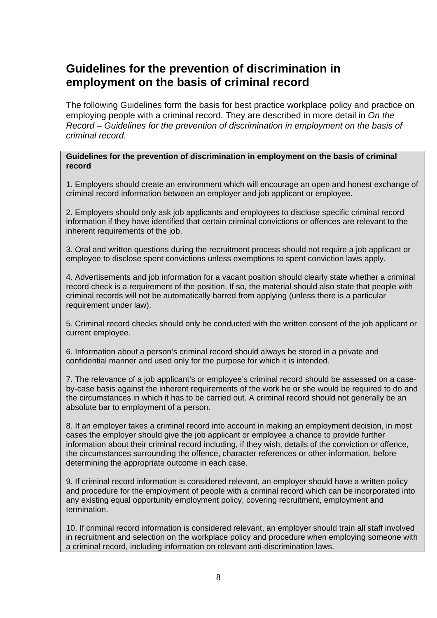# <span id="page-7-0"></span>**Guidelines for the prevention of discrimination in employment on the basis of criminal record**

The following Guidelines form the basis for best practice workplace policy and practice on employing people with a criminal record. They are described in more detail in *On the Record – Guidelines for the prevention of discrimination in employment on the basis of criminal record.*

#### **Guidelines for the prevention of discrimination in employment on the basis of criminal record**

1. Employers should create an environment which will encourage an open and honest exchange of criminal record information between an employer and job applicant or employee.

2. Employers should only ask job applicants and employees to disclose specific criminal record information if they have identified that certain criminal convictions or offences are relevant to the inherent requirements of the job.

3. Oral and written questions during the recruitment process should not require a job applicant or employee to disclose spent convictions unless exemptions to spent conviction laws apply.

4. Advertisements and job information for a vacant position should clearly state whether a criminal record check is a requirement of the position. If so, the material should also state that people with criminal records will not be automatically barred from applying (unless there is a particular requirement under law).

5. Criminal record checks should only be conducted with the written consent of the job applicant or current employee.

6. Information about a person's criminal record should always be stored in a private and confidential manner and used only for the purpose for which it is intended.

7. The relevance of a job applicant's or employee's criminal record should be assessed on a caseby-case basis against the inherent requirements of the work he or she would be required to do and the circumstances in which it has to be carried out. A criminal record should not generally be an absolute bar to employment of a person.

8. If an employer takes a criminal record into account in making an employment decision, in most cases the employer should give the job applicant or employee a chance to provide further information about their criminal record including, if they wish, details of the conviction or offence, the circumstances surrounding the offence, character references or other information, before determining the appropriate outcome in each case.

9. If criminal record information is considered relevant, an employer should have a written policy and procedure for the employment of people with a criminal record which can be incorporated into any existing equal opportunity employment policy, covering recruitment, employment and termination.

10. If criminal record information is considered relevant, an employer should train all staff involved in recruitment and selection on the workplace policy and procedure when employing someone with a criminal record, including information on relevant anti-discrimination laws.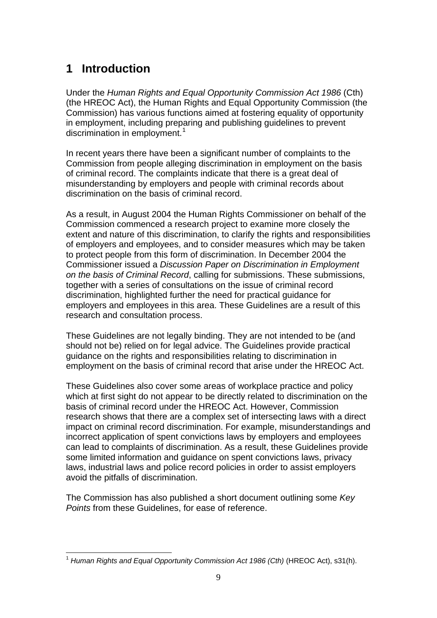# <span id="page-8-0"></span>**1 Introduction**

Under the *Human Rights and Equal Opportunity Commission Act 1986* (Cth) (the HREOC Act), the Human Rights and Equal Opportunity Commission (the Commission) has various functions aimed at fostering equality of opportunity in employment, including preparing and publishing guidelines to prevent discrimination in employment.<sup>[1](#page-8-1)</sup>

In recent years there have been a significant number of complaints to the Commission from people alleging discrimination in employment on the basis of criminal record. The complaints indicate that there is a great deal of misunderstanding by employers and people with criminal records about discrimination on the basis of criminal record.

As a result, in August 2004 the Human Rights Commissioner on behalf of the Commission commenced a research project to examine more closely the extent and nature of this discrimination, to clarify the rights and responsibilities of employers and employees, and to consider measures which may be taken to protect people from this form of discrimination. In December 2004 the Commissioner issued a *Discussion Paper on Discrimination in Employment on the basis of Criminal Record*, calling for submissions. These submissions, together with a series of consultations on the issue of criminal record discrimination, highlighted further the need for practical guidance for employers and employees in this area. These Guidelines are a result of this research and consultation process.

These Guidelines are not legally binding. They are not intended to be (and should not be) relied on for legal advice. The Guidelines provide practical guidance on the rights and responsibilities relating to discrimination in employment on the basis of criminal record that arise under the HREOC Act.

These Guidelines also cover some areas of workplace practice and policy which at first sight do not appear to be directly related to discrimination on the basis of criminal record under the HREOC Act. However, Commission research shows that there are a complex set of intersecting laws with a direct impact on criminal record discrimination. For example, misunderstandings and incorrect application of spent convictions laws by employers and employees can lead to complaints of discrimination. As a result, these Guidelines provide some limited information and guidance on spent convictions laws, privacy laws, industrial laws and police record policies in order to assist employers avoid the pitfalls of discrimination.

The Commission has also published a short document outlining some *Key Points* from these Guidelines, for ease of reference.

<span id="page-8-1"></span><sup>1</sup> <sup>1</sup> *Human Rights and Equal Opportunity Commission Act 1986 (Cth)* (HREOC Act), s31(h).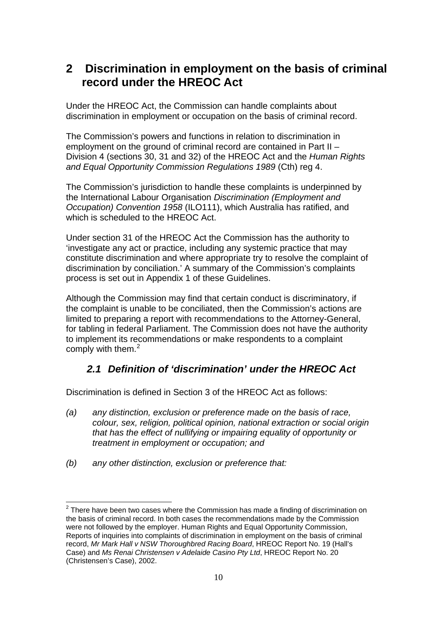# <span id="page-9-0"></span>**2 Discrimination in employment on the basis of criminal record under the HREOC Act**

Under the HREOC Act, the Commission can handle complaints about discrimination in employment or occupation on the basis of criminal record.

The Commission's powers and functions in relation to discrimination in employment on the ground of criminal record are contained in Part II – Division 4 (sections 30, 31 and 32) of the HREOC Act and the *Human Rights and Equal Opportunity Commission Regulations 1989* (Cth) reg 4.

The Commission's jurisdiction to handle these complaints is underpinned by the International Labour Organisation *Discrimination (Employment and Occupation) Convention 1958* (ILO111), which Australia has ratified, and which is scheduled to the HREOC Act.

Under section 31 of the HREOC Act the Commission has the authority to 'investigate any act or practice, including any systemic practice that may constitute discrimination and where appropriate try to resolve the complaint of discrimination by conciliation.' A summary of the Commission's complaints process is set out in Appendix 1 of these Guidelines.

Although the Commission may find that certain conduct is discriminatory, if the complaint is unable to be conciliated, then the Commission's actions are limited to preparing a report with recommendations to the Attorney-General, for tabling in federal Parliament. The Commission does not have the authority to implement its recommendations or make respondents to a complaint comply with them. $2$ 

# *2.1 Definition of 'discrimination' under the HREOC Act*

Discrimination is defined in Section 3 of the HREOC Act as follows:

- *(a) any distinction, exclusion or preference made on the basis of race, colour, sex, religion, political opinion, national extraction or social origin that has the effect of nullifying or impairing equality of opportunity or treatment in employment or occupation; and*
- *(b) any other distinction, exclusion or preference that:*

1

<span id="page-9-1"></span> $2$  There have been two cases where the Commission has made a finding of discrimination on the basis of criminal record. In both cases the recommendations made by the Commission were not followed by the employer. Human Rights and Equal Opportunity Commission, Reports of inquiries into complaints of discrimination in employment on the basis of criminal record, *Mr Mark Hall v NSW Thoroughbred Racing Board*, HREOC Report No. 19 (Hall's Case) and *Ms Renai Christensen v Adelaide Casino Pty Ltd*, HREOC Report No. 20 (Christensen's Case), 2002.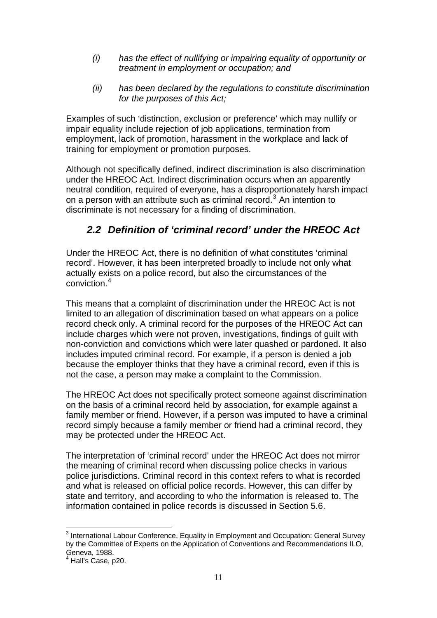- <span id="page-10-0"></span>*(i) has the effect of nullifying or impairing equality of opportunity or treatment in employment or occupation; and*
- *(ii) has been declared by the regulations to constitute discrimination for the purposes of this Act;*

Examples of such 'distinction, exclusion or preference' which may nullify or impair equality include rejection of job applications, termination from employment, lack of promotion, harassment in the workplace and lack of training for employment or promotion purposes.

Although not specifically defined, indirect discrimination is also discrimination under the HREOC Act. Indirect discrimination occurs when an apparently neutral condition, required of everyone, has a disproportionately harsh impact on a person with an attribute such as criminal record.<sup>[3](#page-10-1)</sup> An intention to discriminate is not necessary for a finding of discrimination.

# *2.2 Definition of 'criminal record' under the HREOC Act*

Under the HREOC Act, there is no definition of what constitutes 'criminal record'. However, it has been interpreted broadly to include not only what actually exists on a police record, but also the circumstances of the conviction<sup>[4](#page-10-2)</sup>

This means that a complaint of discrimination under the HREOC Act is not limited to an allegation of discrimination based on what appears on a police record check only. A criminal record for the purposes of the HREOC Act can include charges which were not proven, investigations, findings of guilt with non-conviction and convictions which were later quashed or pardoned. It also includes imputed criminal record. For example, if a person is denied a job because the employer thinks that they have a criminal record, even if this is not the case, a person may make a complaint to the Commission.

The HREOC Act does not specifically protect someone against discrimination on the basis of a criminal record held by association, for example against a family member or friend. However, if a person was imputed to have a criminal record simply because a family member or friend had a criminal record, they may be protected under the HREOC Act.

The interpretation of 'criminal record' under the HREOC Act does not mirror the meaning of criminal record when discussing police checks in various police jurisdictions. Criminal record in this context refers to what is recorded and what is released on official police records. However, this can differ by state and territory, and according to who the information is released to. The information contained in police records is discussed in Section 5.6.

<span id="page-10-1"></span> 3 International Labour Conference, Equality in Employment and Occupation: General Survey by the Committee of Experts on the Application of Conventions and Recommendations ILO, Geneva, 1988.

<span id="page-10-2"></span><sup>4</sup> Hall's Case, p20.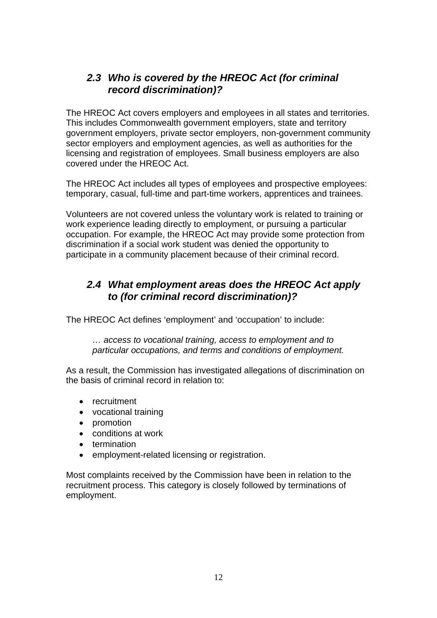# <span id="page-11-0"></span>*2.3 Who is covered by the HREOC Act (for criminal record discrimination)?*

The HREOC Act covers employers and employees in all states and territories. This includes Commonwealth government employers, state and territory government employers, private sector employers, non-government community sector employers and employment agencies, as well as authorities for the licensing and registration of employees. Small business employers are also covered under the HREOC Act.

The HREOC Act includes all types of employees and prospective employees: temporary, casual, full-time and part-time workers, apprentices and trainees.

Volunteers are not covered unless the voluntary work is related to training or work experience leading directly to employment, or pursuing a particular occupation. For example, the HREOC Act may provide some protection from discrimination if a social work student was denied the opportunity to participate in a community placement because of their criminal record.

## *2.4 What employment areas does the HREOC Act apply to (for criminal record discrimination)?*

The HREOC Act defines 'employment' and 'occupation' to include:

*… access to vocational training, access to employment and to particular occupations, and terms and conditions of employment.* 

As a result, the Commission has investigated allegations of discrimination on the basis of criminal record in relation to:

- recruitment
- vocational training
- promotion
- conditions at work
- termination
- employment-related licensing or registration.

Most complaints received by the Commission have been in relation to the recruitment process. This category is closely followed by terminations of employment.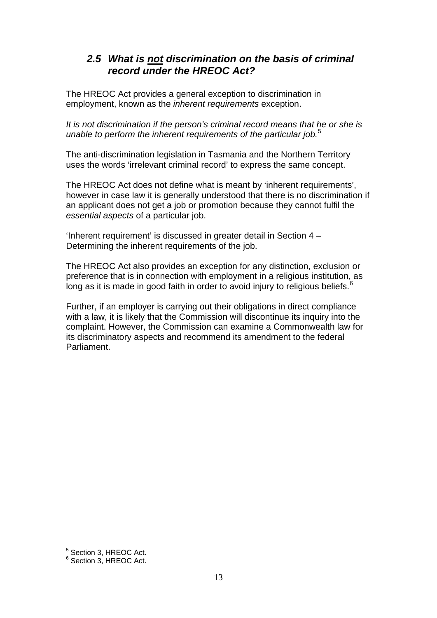# <span id="page-12-0"></span>*2.5 What is not discrimination on the basis of criminal record under the HREOC Act?*

The HREOC Act provides a general exception to discrimination in employment, known as the *inherent requirements* exception.

*It is not discrimination if the person's criminal record means that he or she is unable to perform the inherent requirements of the particular job.*[5](#page-12-1)

The anti-discrimination legislation in Tasmania and the Northern Territory uses the words 'irrelevant criminal record' to express the same concept.

The HREOC Act does not define what is meant by 'inherent requirements', however in case law it is generally understood that there is no discrimination if an applicant does not get a job or promotion because they cannot fulfil the *essential aspects* of a particular job.

'Inherent requirement' is discussed in greater detail in Section 4 – Determining the inherent requirements of the job.

The HREOC Act also provides an exception for any distinction, exclusion or preference that is in connection with employment in a religious institution, as long as it is made in good faith in order to avoid injury to religious beliefs.  $6$ 

Further, if an employer is carrying out their obligations in direct compliance with a law, it is likely that the Commission will discontinue its inquiry into the complaint. However, the Commission can examine a Commonwealth law for its discriminatory aspects and recommend its amendment to the federal Parliament.

<u>.</u>

<span id="page-12-1"></span><sup>5</sup> Section 3, HREOC Act.

<span id="page-12-2"></span><sup>6</sup> Section 3, HREOC Act.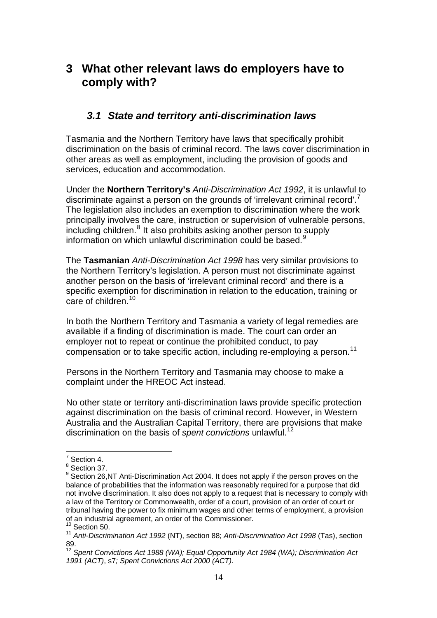# <span id="page-13-0"></span>**3 What other relevant laws do employers have to comply with?**

## *3.1 State and territory anti-discrimination laws*

Tasmania and the Northern Territory have laws that specifically prohibit discrimination on the basis of criminal record. The laws cover discrimination in other areas as well as employment, including the provision of goods and services, education and accommodation.

Under the **Northern Territory's** *Anti-Discrimination Act 1992*, it is unlawful to discriminate against a person on the grounds of 'irrelevant criminal record'. The legislation also includes an exemption to discrimination where the work principally involves the care, instruction or supervision of vulnerable persons, including children.<sup>[8](#page-13-2)</sup> It also prohibits asking another person to supply information on which unlawful discrimination could be based.<sup>[9](#page-13-3)</sup>

The **Tasmanian** *Anti-Discrimination Act 1998* has very similar provisions to the Northern Territory's legislation. A person must not discriminate against another person on the basis of 'irrelevant criminal record' and there is a specific exemption for discrimination in relation to the education, training or care of children.<sup>[10](#page-13-4)</sup>

In both the Northern Territory and Tasmania a variety of legal remedies are available if a finding of discrimination is made. The court can order an employer not to repeat or continue the prohibited conduct, to pay compensation or to take specific action, including re-employing a person.<sup>[11](#page-13-5)</sup>

Persons in the Northern Territory and Tasmania may choose to make a complaint under the HREOC Act instead.

No other state or territory anti-discrimination laws provide specific protection against discrimination on the basis of criminal record. However, in Western Australia and the Australian Capital Territory, there are provisions that make discrimination on the basis of *spent convictions* unlawful.[12](#page-13-6)

 $\frac{1}{7}$  Section 4.

<span id="page-13-1"></span><sup>&</sup>lt;sup>8</sup> Section 37.

<span id="page-13-3"></span><span id="page-13-2"></span><sup>&</sup>lt;sup>9</sup> Section 26,NT Anti-Discrimination Act 2004. It does not apply if the person proves on the balance of probabilities that the information was reasonably required for a purpose that did not involve discrimination. It also does not apply to a request that is necessary to comply with a law of the Territory or Commonwealth, order of a court, provision of an order of court or tribunal having the power to fix minimum wages and other terms of employment, a provision of an industrial agreement, an order of the Commissioner. <sup>10</sup> Section 50.

<span id="page-13-5"></span><span id="page-13-4"></span><sup>11</sup> *Anti-Discrimination Act 1992* (NT), section 88; *Anti-Discrimination Act 1998* (Tas), section 89.

<span id="page-13-6"></span><sup>12</sup> *Spent Convictions Act 1988 (WA); Equal Opportunity Act 1984 (WA); Discrimination Act 1991 (ACT)*, s7*; Spent Convictions Act 2000 (ACT).*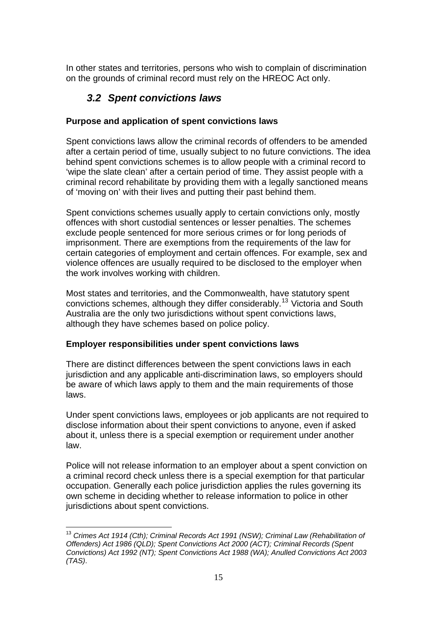<span id="page-14-0"></span>In other states and territories, persons who wish to complain of discrimination on the grounds of criminal record must rely on the HREOC Act only.

# *3.2 Spent convictions laws*

## **Purpose and application of spent convictions laws**

Spent convictions laws allow the criminal records of offenders to be amended after a certain period of time, usually subject to no future convictions. The idea behind spent convictions schemes is to allow people with a criminal record to 'wipe the slate clean' after a certain period of time. They assist people with a criminal record rehabilitate by providing them with a legally sanctioned means of 'moving on' with their lives and putting their past behind them.

Spent convictions schemes usually apply to certain convictions only, mostly offences with short custodial sentences or lesser penalties. The schemes exclude people sentenced for more serious crimes or for long periods of imprisonment. There are exemptions from the requirements of the law for certain categories of employment and certain offences. For example, sex and violence offences are usually required to be disclosed to the employer when the work involves working with children.

Most states and territories, and the Commonwealth, have statutory spent convictions schemes, although they differ considerably.<sup>[13](#page-14-1)</sup> Victoria and South Australia are the only two jurisdictions without spent convictions laws, although they have schemes based on police policy.

## **Employer responsibilities under spent convictions laws**

There are distinct differences between the spent convictions laws in each jurisdiction and any applicable anti-discrimination laws, so employers should be aware of which laws apply to them and the main requirements of those laws.

Under spent convictions laws, employees or job applicants are not required to disclose information about their spent convictions to anyone, even if asked about it, unless there is a special exemption or requirement under another law.

Police will not release information to an employer about a spent conviction on a criminal record check unless there is a special exemption for that particular occupation. Generally each police jurisdiction applies the rules governing its own scheme in deciding whether to release information to police in other jurisdictions about spent convictions.

<span id="page-14-1"></span><sup>1</sup> <sup>13</sup> Crimes Act 1914 (Cth); Criminal Records Act 1991 (NSW); Criminal Law (Rehabilitation of *Offenders) Act 1986 (QLD); Spent Convictions Act 2000 (ACT); Criminal Records (Spent Convictions) Act 1992 (NT); Spent Convictions Act 1988 (WA); Anulled Convictions Act 2003 (TAS)*.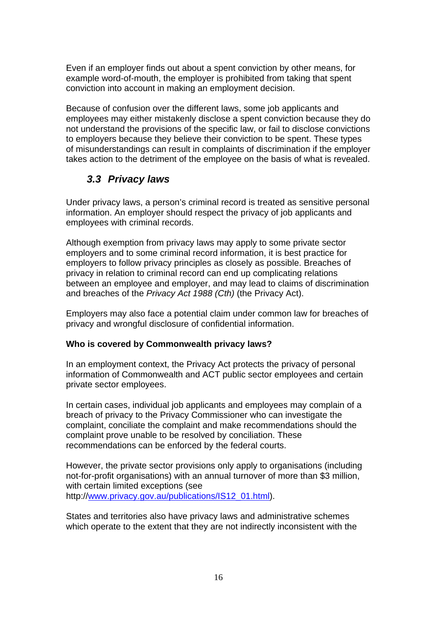<span id="page-15-0"></span>Even if an employer finds out about a spent conviction by other means, for example word-of-mouth, the employer is prohibited from taking that spent conviction into account in making an employment decision.

Because of confusion over the different laws, some job applicants and employees may either mistakenly disclose a spent conviction because they do not understand the provisions of the specific law, or fail to disclose convictions to employers because they believe their conviction to be spent. These types of misunderstandings can result in complaints of discrimination if the employer takes action to the detriment of the employee on the basis of what is revealed.

# *3.3 Privacy laws*

Under privacy laws, a person's criminal record is treated as sensitive personal information. An employer should respect the privacy of job applicants and employees with criminal records.

Although exemption from privacy laws may apply to some private sector employers and to some criminal record information, it is best practice for employers to follow privacy principles as closely as possible. Breaches of privacy in relation to criminal record can end up complicating relations between an employee and employer, and may lead to claims of discrimination and breaches of the *Privacy Act 1988 (Cth)* (the Privacy Act).

Employers may also face a potential claim under common law for breaches of privacy and wrongful disclosure of confidential information.

## **Who is covered by Commonwealth privacy laws?**

In an employment context, the Privacy Act protects the privacy of personal information of Commonwealth and ACT public sector employees and certain private sector employees.

In certain cases, individual job applicants and employees may complain of a breach of privacy to the Privacy Commissioner who can investigate the complaint, conciliate the complaint and make recommendations should the complaint prove unable to be resolved by conciliation. These recommendations can be enforced by the federal courts.

However, the private sector provisions only apply to organisations (including not-for-profit organisations) with an annual turnover of more than \$3 million, with certain limited exceptions (see http:/[/www.privacy.gov.au/publications/IS12\\_01.html](http://www.privacy.gov.au/publications/IS12_01.html)).

States and territories also have privacy laws and administrative schemes which operate to the extent that they are not indirectly inconsistent with the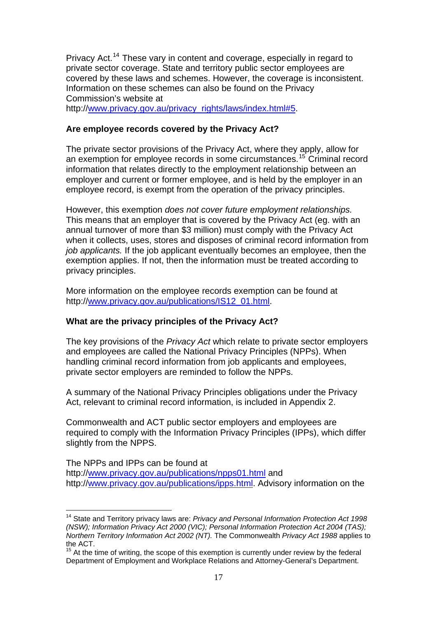Privacy Act.<sup>[14](#page-16-0)</sup> These vary in content and coverage, especially in regard to private sector coverage. State and territory public sector employees are covered by these laws and schemes. However, the coverage is inconsistent. Information on these schemes can also be found on the Privacy Commission's website at http:/[/www.privacy.gov.au/privacy\\_rights/laws/index.html#5.](http://www.privacy.gov.au/privacy_rights/laws/index.html#5)

## **Are employee records covered by the Privacy Act?**

The private sector provisions of the Privacy Act, where they apply, allow for an exemption for employee records in some circumstances.[15](#page-16-1) Criminal record information that relates directly to the employment relationship between an employer and current or former employee, and is held by the employer in an employee record, is exempt from the operation of the privacy principles.

However, this exemption *does not cover future employment relationships.*  This means that an employer that is covered by the Privacy Act (eg. with an annual turnover of more than \$3 million) must comply with the Privacy Act when it collects, uses, stores and disposes of criminal record information from *job applicants.* If the job applicant eventually becomes an employee, then the exemption applies. If not, then the information must be treated according to privacy principles.

More information on the employee records exemption can be found at http:/[/www.privacy.gov.au/publications/IS12\\_01.html](http://www.privacy.gov.au/publications/IS12_01.html).

## **What are the privacy principles of the Privacy Act?**

1

The key provisions of the *Privacy Act* which relate to private sector employers and employees are called the National Privacy Principles (NPPs). When handling criminal record information from job applicants and employees, private sector employers are reminded to follow the NPPs.

A summary of the National Privacy Principles obligations under the Privacy Act, relevant to criminal record information, is included in Appendix 2.

Commonwealth and ACT public sector employers and employees are required to comply with the Information Privacy Principles (IPPs), which differ slightly from the NPPS.

The NPPs and IPPs can be found at http:/[/www.privacy.gov.au/publications/npps01.html](http://www.privacy.gov.au/publications/npps01.html) and http:/[/www.privacy.gov.au/publications/ipps.html.](http://www.privacy.gov.au/publications/ipps.html) Advisory information on the

<span id="page-16-0"></span><sup>14</sup> State and Territory privacy laws are: *Privacy and Personal Information Protection Act 1998 (NSW); Information Privacy Act 2000 (VIC); Personal Information Protection Act 2004 (TAS); Northern Territory Information Act 2002 (NT).* The Commonwealth *Privacy Act 1988* applies to the ACT.

<span id="page-16-1"></span> $15$  At the time of writing, the scope of this exemption is currently under review by the federal Department of Employment and Workplace Relations and Attorney-General's Department.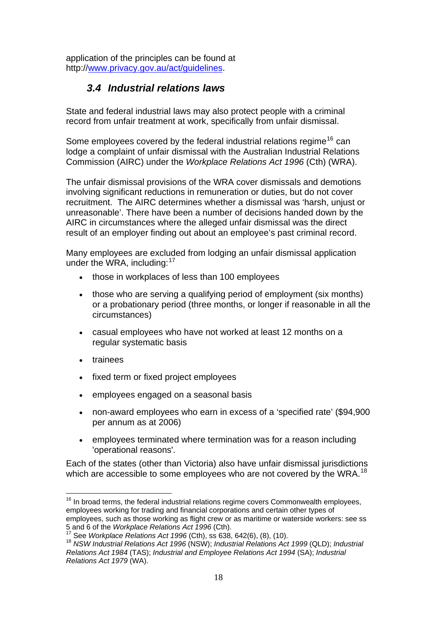<span id="page-17-0"></span>application of the principles can be found at http:/[/www.privacy.gov.au/act/guidelines](http://www.privacy.gov.au/act/guidelines).

# *3.4 Industrial relations laws*

State and federal industrial laws may also protect people with a criminal record from unfair treatment at work, specifically from unfair dismissal.

Some employees covered by the federal industrial relations regime<sup>[16](#page-17-1)</sup> can lodge a complaint of unfair dismissal with the Australian Industrial Relations Commission (AIRC) under the *Workplace Relations Act 1996* (Cth) (WRA).

The unfair dismissal provisions of the WRA cover dismissals and demotions involving significant reductions in remuneration or duties, but do not cover recruitment. The AIRC determines whether a dismissal was 'harsh, unjust or unreasonable'. There have been a number of decisions handed down by the AIRC in circumstances where the alleged unfair dismissal was the direct result of an employer finding out about an employee's past criminal record.

Many employees are excluded from lodging an unfair dismissal application under the WRA, including:<sup>[17](#page-17-2)</sup>

- those in workplaces of less than 100 employees
- those who are serving a qualifying period of employment (six months) or a probationary period (three months, or longer if reasonable in all the circumstances)
- casual employees who have not worked at least 12 months on a regular systematic basis
- trainees

<u>.</u>

- fixed term or fixed project employees
- employees engaged on a seasonal basis
- non-award employees who earn in excess of a 'specified rate' (\$94,900 per annum as at 2006)
- employees terminated where termination was for a reason including 'operational reasons'.

Each of the states (other than Victoria) also have unfair dismissal jurisdictions which are accessible to some employees who are not covered by the WRA.<sup>[18](#page-17-3)</sup>

<span id="page-17-1"></span> $16$  In broad terms, the federal industrial relations regime covers Commonwealth employees, employees working for trading and financial corporations and certain other types of employees, such as those working as flight crew or as maritime or waterside workers: see ss<br>5 and 6 of the Workplace Relations Act 1996 (Cth).

<span id="page-17-3"></span><span id="page-17-2"></span><sup>17</sup> See Workplace Relations Act 1996 (Cth), ss 638, 642(6), (8), (10).<br><sup>18</sup> NSW Industrial Relations Act 1996 (NSW); Industrial Relations Act 1999 (QLD); Industrial *Relations Act 1984* (TAS); *Industrial and Employee Relations Act 1994* (SA); *Industrial Relations Act 1979* (WA).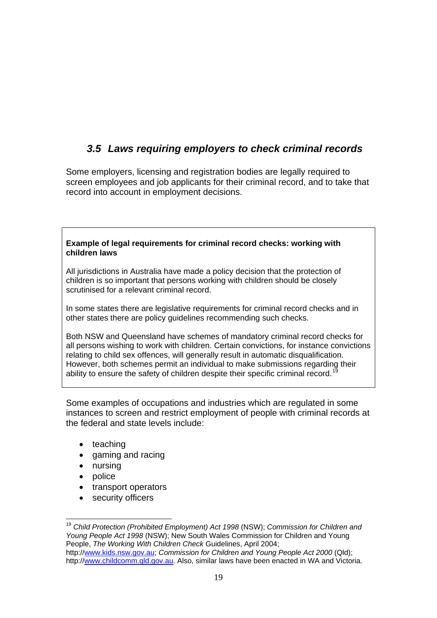# <span id="page-18-0"></span>*3.5 Laws requiring employers to check criminal records*

Some employers, licensing and registration bodies are legally required to screen employees and job applicants for their criminal record, and to take that record into account in employment decisions.

### **Example of legal requirements for criminal record checks: working with children laws**

All jurisdictions in Australia have made a policy decision that the protection of children is so important that persons working with children should be closely scrutinised for a relevant criminal record.

In some states there are legislative requirements for criminal record checks and in other states there are policy guidelines recommending such checks.

Both NSW and Queensland have schemes of mandatory criminal record checks for all persons wishing to work with children. Certain convictions, for instance convictions relating to child sex offences, will generally result in automatic disqualification. However, both schemes permit an individual to make submissions regarding their ability to ensure the safety of children despite their specific criminal record.<sup>1</sup>

Some examples of occupations and industries which are regulated in some instances to screen and restrict employment of people with criminal records at the federal and state levels include:

- teaching
- gaming and racing
- nursing
- police
- transport operators
- security officers

<span id="page-18-1"></span><sup>&</sup>lt;u>.</u> <sup>19</sup> *Child Protection (Prohibited Employment) Act 1998* (NSW); *Commission for Children and Young People Act 1998* (NSW); New South Wales Commission for Children and Young People, *The Working With Children Check* Guidelines, April 2004;

http://[www.kids.nsw.gov.au;](http://www.kids.nsw.gov.au/) *Commission for Children and Young People Act 2000* (Qld); http://[www.childcomm.qld.gov.au](http://www.childcomm.qld.gov.au/). Also, similar laws have been enacted in WA and Victoria.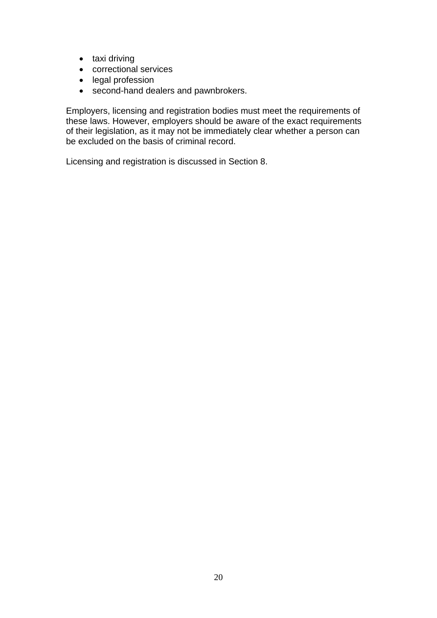- taxi driving
- correctional services
- legal profession
- second-hand dealers and pawnbrokers.

Employers, licensing and registration bodies must meet the requirements of these laws. However, employers should be aware of the exact requirements of their legislation, as it may not be immediately clear whether a person can be excluded on the basis of criminal record.

Licensing and registration is discussed in Section 8.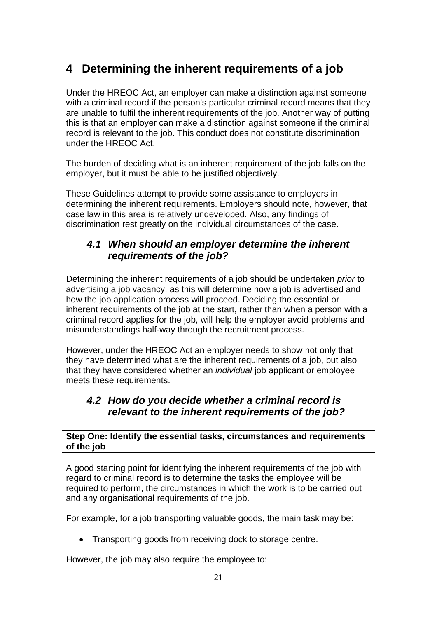# <span id="page-20-0"></span>**4 Determining the inherent requirements of a job**

Under the HREOC Act, an employer can make a distinction against someone with a criminal record if the person's particular criminal record means that they are unable to fulfil the inherent requirements of the job. Another way of putting this is that an employer can make a distinction against someone if the criminal record is relevant to the job. This conduct does not constitute discrimination under the HREOC Act.

The burden of deciding what is an inherent requirement of the job falls on the employer, but it must be able to be justified objectively.

These Guidelines attempt to provide some assistance to employers in determining the inherent requirements. Employers should note, however, that case law in this area is relatively undeveloped. Also, any findings of discrimination rest greatly on the individual circumstances of the case.

# *4.1 When should an employer determine the inherent requirements of the job?*

Determining the inherent requirements of a job should be undertaken *prior* to advertising a job vacancy, as this will determine how a job is advertised and how the job application process will proceed. Deciding the essential or inherent requirements of the job at the start, rather than when a person with a criminal record applies for the job, will help the employer avoid problems and misunderstandings half-way through the recruitment process.

However, under the HREOC Act an employer needs to show not only that they have determined what are the inherent requirements of a job, but also that they have considered whether an *individual* job applicant or employee meets these requirements.

## *4.2 How do you decide whether a criminal record is relevant to the inherent requirements of the job?*

**Step One: Identify the essential tasks, circumstances and requirements of the job** 

A good starting point for identifying the inherent requirements of the job with regard to criminal record is to determine the tasks the employee will be required to perform, the circumstances in which the work is to be carried out and any organisational requirements of the job.

For example, for a job transporting valuable goods, the main task may be:

• Transporting goods from receiving dock to storage centre.

However, the job may also require the employee to: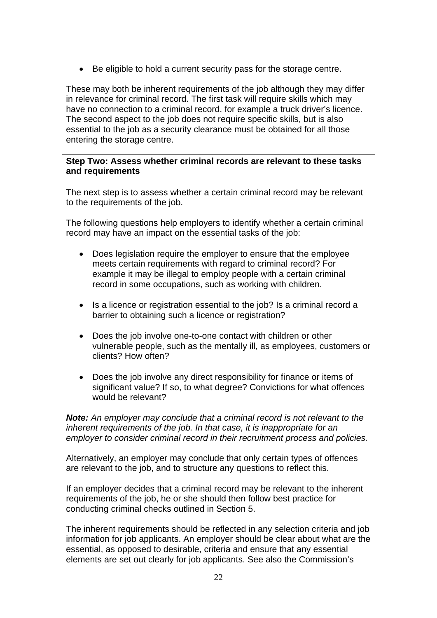Be eligible to hold a current security pass for the storage centre.

These may both be inherent requirements of the job although they may differ in relevance for criminal record. The first task will require skills which may have no connection to a criminal record, for example a truck driver's licence. The second aspect to the job does not require specific skills, but is also essential to the job as a security clearance must be obtained for all those entering the storage centre.

### **Step Two: Assess whether criminal records are relevant to these tasks and requirements**

The next step is to assess whether a certain criminal record may be relevant to the requirements of the job.

The following questions help employers to identify whether a certain criminal record may have an impact on the essential tasks of the job:

- Does legislation require the employer to ensure that the employee meets certain requirements with regard to criminal record? For example it may be illegal to employ people with a certain criminal record in some occupations, such as working with children.
- Is a licence or registration essential to the job? Is a criminal record a barrier to obtaining such a licence or registration?
- Does the job involve one-to-one contact with children or other vulnerable people, such as the mentally ill, as employees, customers or clients? How often?
- Does the job involve any direct responsibility for finance or items of significant value? If so, to what degree? Convictions for what offences would be relevant?

*Note: An employer may conclude that a criminal record is not relevant to the inherent requirements of the job. In that case, it is inappropriate for an employer to consider criminal record in their recruitment process and policies.* 

Alternatively, an employer may conclude that only certain types of offences are relevant to the job, and to structure any questions to reflect this.

If an employer decides that a criminal record may be relevant to the inherent requirements of the job, he or she should then follow best practice for conducting criminal checks outlined in Section 5.

The inherent requirements should be reflected in any selection criteria and job information for job applicants. An employer should be clear about what are the essential, as opposed to desirable, criteria and ensure that any essential elements are set out clearly for job applicants. See also the Commission's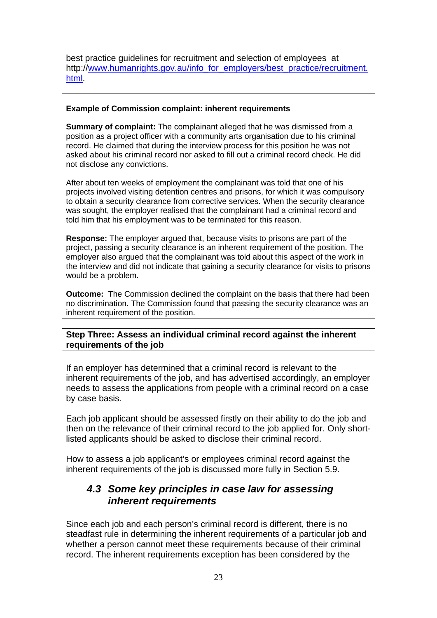<span id="page-22-0"></span>best practice guidelines for recruitment and selection of employees at http:/[/www.humanrights.gov.au/info\\_for\\_employers/best\\_practice/recruitment.](http://www.humanrights.gov.au/info_for_employers/best_practice/recruitment.html) [html.](http://www.humanrights.gov.au/info_for_employers/best_practice/recruitment.html)

### **Example of Commission complaint: inherent requirements**

**Summary of complaint:** The complainant alleged that he was dismissed from a position as a project officer with a community arts organisation due to his criminal record. He claimed that during the interview process for this position he was not asked about his criminal record nor asked to fill out a criminal record check. He did not disclose any convictions.

After about ten weeks of employment the complainant was told that one of his projects involved visiting detention centres and prisons, for which it was compulsory to obtain a security clearance from corrective services. When the security clearance was sought, the employer realised that the complainant had a criminal record and told him that his employment was to be terminated for this reason.

**Response:** The employer argued that, because visits to prisons are part of the project, passing a security clearance is an inherent requirement of the position. The employer also argued that the complainant was told about this aspect of the work in the interview and did not indicate that gaining a security clearance for visits to prisons would be a problem.

**Outcome:** The Commission declined the complaint on the basis that there had been no discrimination. The Commission found that passing the security clearance was an inherent requirement of the position.

**Step Three: Assess an individual criminal record against the inherent requirements of the job** 

If an employer has determined that a criminal record is relevant to the inherent requirements of the job, and has advertised accordingly, an employer needs to assess the applications from people with a criminal record on a case by case basis.

Each job applicant should be assessed firstly on their ability to do the job and then on the relevance of their criminal record to the job applied for. Only shortlisted applicants should be asked to disclose their criminal record.

How to assess a job applicant's or employees criminal record against the inherent requirements of the job is discussed more fully in Section 5.9.

## *4.3 Some key principles in case law for assessing inherent requirements*

Since each job and each person's criminal record is different, there is no steadfast rule in determining the inherent requirements of a particular job and whether a person cannot meet these requirements because of their criminal record. The inherent requirements exception has been considered by the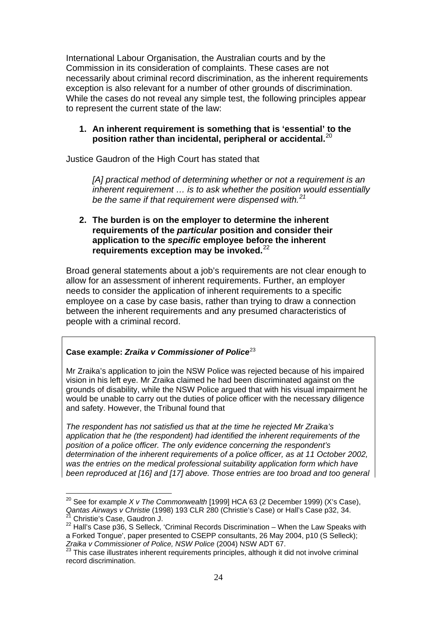International Labour Organisation, the Australian courts and by the Commission in its consideration of complaints. These cases are not necessarily about criminal record discrimination, as the inherent requirements exception is also relevant for a number of other grounds of discrimination. While the cases do not reveal any simple test, the following principles appear to represent the current state of the law:

## **1. An inherent requirement is something that is 'essential' to the position rather than incidental, peripheral or accidental.**[20](#page-23-0)

Justice Gaudron of the High Court has stated that

*[A] practical method of determining whether or not a requirement is an inherent requirement … is to ask whether the position would essentially be the same if that requirement were dispensed with.[21](#page-23-1)*

## **2. The burden is on the employer to determine the inherent requirements of the** *particular* **position and consider their application to the** *specific* **employee before the inherent requirements exception may be invoked.**[22](#page-23-2)

Broad general statements about a job's requirements are not clear enough to allow for an assessment of inherent requirements. Further, an employer needs to consider the application of inherent requirements to a specific employee on a case by case basis, rather than trying to draw a connection between the inherent requirements and any presumed characteristics of people with a criminal record.

## **Case example:** *Zraika v Commissioner of Police*[23](#page-23-3)

Mr Zraika's application to join the NSW Police was rejected because of his impaired vision in his left eye. Mr Zraika claimed he had been discriminated against on the grounds of disability, while the NSW Police argued that with his visual impairment he would be unable to carry out the duties of police officer with the necessary diligence and safety. However, the Tribunal found that

*The respondent has not satisfied us that at the time he rejected Mr Zraika's application that he (the respondent) had identified the inherent requirements of the position of a police officer. The only evidence concerning the respondent's determination of the inherent requirements of a police officer, as at 11 October 2002, was the entries on the medical professional suitability application form which have been reproduced at [16] and [17] above. Those entries are too broad and too general* 

<span id="page-23-0"></span><sup>&</sup>lt;u>.</u> 20 See for example *X v The Commonwealth* [1999] HCA 63 (2 December 1999) (X's Case), *Qantas Airways v Christie* (1998) 193 CLR 280 (Christie's Case) or Hall's Case p32, 34. 21 Christie's Case, Gaudron J.

<span id="page-23-2"></span><span id="page-23-1"></span> $22$  Hall's Case p36, S Selleck, 'Criminal Records Discrimination – When the Law Speaks with a Forked Tongue', paper presented to CSEPP consultants, 26 May 2004, p10 (S Selleck);<br>Zraika v Commissioner of Police, NSW Police (2004) NSW ADT 67.

<span id="page-23-3"></span><sup>&</sup>lt;sup>23</sup> This case illustrates inherent requirements principles, although it did not involve criminal record discrimination.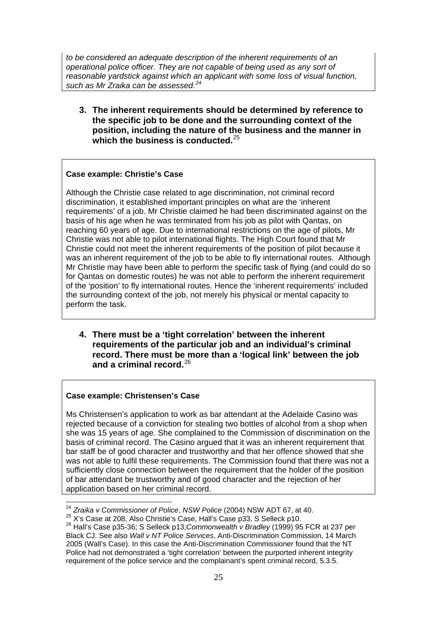*to be considered an adequate description of the inherent requirements of an operational police officer. They are not capable of being used as any sort of reasonable yardstick against which an applicant with some loss of visual function, such as Mr Zraika can be assessed.[24](#page-24-0)*

**3. The inherent requirements should be determined by reference to the specific job to be done and the surrounding context of the position, including the nature of the business and the manner in which the business is conducted.**[25](#page-24-1)

#### **Case example: Christie's Case**

Although the Christie case related to age discrimination, not criminal record discrimination, it established important principles on what are the 'inherent requirements' of a job. Mr Christie claimed he had been discriminated against on the basis of his age when he was terminated from his job as pilot with Qantas, on reaching 60 years of age. Due to international restrictions on the age of pilots, Mr Christie was not able to pilot international flights. The High Court found that Mr Christie could not meet the inherent requirements of the position of pilot because it was an inherent requirement of the job to be able to fly international routes. Although Mr Christie may have been able to perform the specific task of flying (and could do so for Qantas on domestic routes) he was not able to perform the inherent requirement of the 'position' to fly international routes. Hence the 'inherent requirements' included the surrounding context of the job, not merely his physical or mental capacity to perform the task.

**4. There must be a 'tight correlation' between the inherent requirements of the particular job and an individual's criminal record. There must be more than a 'logical link' between the job and a criminal record.**[26](#page-24-2)

#### **Case example: Christensen's Case**

Ms Christensen's application to work as bar attendant at the Adelaide Casino was rejected because of a conviction for stealing two bottles of alcohol from a shop when she was 15 years of age. She complained to the Commission of discrimination on the basis of criminal record. The Casino argued that it was an inherent requirement that bar staff be of good character and trustworthy and that her offence showed that she was not able to fulfil these requirements. The Commission found that there was not a sufficiently close connection between the requirement that the holder of the position of bar attendant be trustworthy and of good character and the rejection of her application based on her criminal record.

<sup>&</sup>lt;sup>24</sup> Zraika v Commissioner of Police, NSW Police (2004) NSW ADT 67, at 40.

<span id="page-24-2"></span><span id="page-24-1"></span><span id="page-24-0"></span> $^{25}$  X's Case at 208, Also Christie's Case, Hall's Case p33, S Selleck p10.<br><sup>26</sup> Hall's Case p35-36: S Selleck p13*:Commonwealth v Bradlev* (1999) 95 FCR at 237 per Black CJ. See also *Wall v NT Police Services*, Anti-Discrimination Commission, 14 March 2005 (Wall's Case). In this case the Anti-Discrimination Commissioner found that the NT Police had not demonstrated a 'tight correlation' between the purported inherent integrity requirement of the police service and the complainant's spent criminal record, 5.3.5.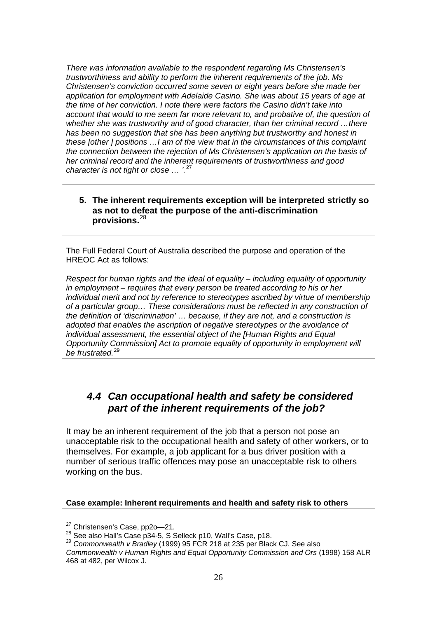<span id="page-25-0"></span>*There was information available to the respondent regarding Ms Christensen's trustworthiness and ability to perform the inherent requirements of the job. Ms Christensen's conviction occurred some seven or eight years before she made her application for employment with Adelaide Casino. She was about 15 years of age at the time of her conviction. I note there were factors the Casino didn't take into account that would to me seem far more relevant to, and probative of, the question of whether she was trustworthy and of good character, than her criminal record …there has been no suggestion that she has been anything but trustworthy and honest in these [other ] positions …I am of the view that in the circumstances of this complaint the connection between the rejection of Ms Christensen's application on the basis of her criminal record and the inherent requirements of trustworthiness and good character is not tight or close … '.*[27](#page-25-1)

## **5. The inherent requirements exception will be interpreted strictly so as not to defeat the purpose of the anti-discrimination provisions.**[28](#page-25-2)

The Full Federal Court of Australia described the purpose and operation of the HREOC Act as follows:

*Respect for human rights and the ideal of equality – including equality of opportunity in employment – requires that every person be treated according to his or her individual merit and not by reference to stereotypes ascribed by virtue of membership of a particular group… These considerations must be reflected in any construction of the definition of 'discrimination' … because, if they are not, and a construction is adopted that enables the ascription of negative stereotypes or the avoidance of individual assessment, the essential object of the [Human Rights and Equal Opportunity Commission] Act to promote equality of opportunity in employment will be frustrated.*[29](#page-25-3)

# *4.4 Can occupational health and safety be considered part of the inherent requirements of the job?*

It may be an inherent requirement of the job that a person not pose an unacceptable risk to the occupational health and safety of other workers, or to themselves. For example, a job applicant for a bus driver position with a number of serious traffic offences may pose an unacceptable risk to others working on the bus.

### **Case example: Inherent requirements and health and safety risk to others**

<u>.</u>

<span id="page-25-1"></span><sup>&</sup>lt;sup>27</sup> Christensen's Case, pp2o—21.<br><sup>28</sup> See also Hall's Case p34-5, S Selleck p10, Wall's Case, p18.<br><sup>29</sup> *Commonwealth v Bradlev* (1999) 95 FCR 218 at 235 per Black CJ. See also

<span id="page-25-3"></span><span id="page-25-2"></span>*Commonwealth v Human Rights and Equal Opportunity Commission and Ors* (1998) 158 ALR 468 at 482, per Wilcox J.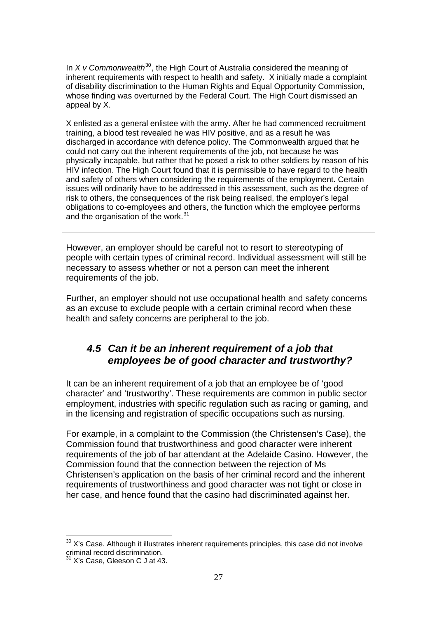<span id="page-26-0"></span>In *X v Commonwealth*<sup>[30](#page-26-1)</sup>, the High Court of Australia considered the meaning of inherent requirements with respect to health and safety. X initially made a complaint of disability discrimination to the Human Rights and Equal Opportunity Commission, whose finding was overturned by the Federal Court. The High Court dismissed an appeal by X.

X enlisted as a general enlistee with the army. After he had commenced recruitment training, a blood test revealed he was HIV positive, and as a result he was discharged in accordance with defence policy. The Commonwealth argued that he could not carry out the inherent requirements of the job, not because he was physically incapable, but rather that he posed a risk to other soldiers by reason of his HIV infection. The High Court found that it is permissible to have regard to the health and safety of others when considering the requirements of the employment. Certain issues will ordinarily have to be addressed in this assessment, such as the degree of risk to others, the consequences of the risk being realised, the employer's legal obligations to co-employees and others, the function which the employee performs and the organisation of the work.<sup>[31](#page-26-2)</sup>

However, an employer should be careful not to resort to stereotyping of people with certain types of criminal record. Individual assessment will still be necessary to assess whether or not a person can meet the inherent requirements of the job.

Further, an employer should not use occupational health and safety concerns as an excuse to exclude people with a certain criminal record when these health and safety concerns are peripheral to the job.

# *4.5 Can it be an inherent requirement of a job that employees be of good character and trustworthy?*

It can be an inherent requirement of a job that an employee be of 'good character' and 'trustworthy'. These requirements are common in public sector employment, industries with specific regulation such as racing or gaming, and in the licensing and registration of specific occupations such as nursing.

For example, in a complaint to the Commission (the Christensen's Case), the Commission found that trustworthiness and good character were inherent requirements of the job of bar attendant at the Adelaide Casino. However, the Commission found that the connection between the rejection of Ms Christensen's application on the basis of her criminal record and the inherent requirements of trustworthiness and good character was not tight or close in her case, and hence found that the casino had discriminated against her.

1

<span id="page-26-1"></span> $30$  X's Case. Although it illustrates inherent requirements principles, this case did not involve criminal record discrimination.

<span id="page-26-2"></span><sup>31</sup> X's Case, Gleeson C J at 43.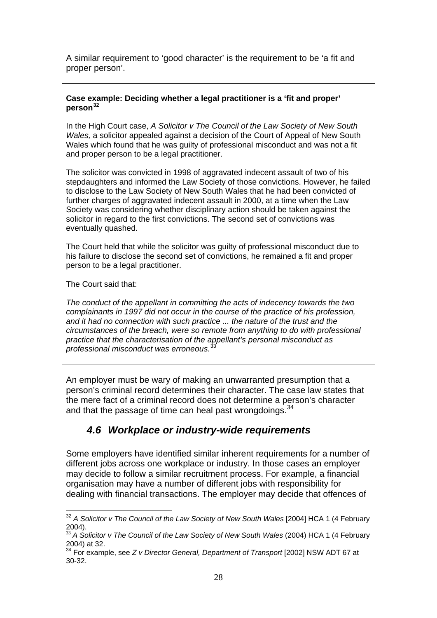<span id="page-27-0"></span>A similar requirement to 'good character' is the requirement to be 'a fit and proper person'.

### **Case example: Deciding whether a legal practitioner is a 'fit and proper' person[32](#page-27-1)**

In the High Court case, *A Solicitor v The Council of the Law Society of New South Wales,* a solicitor appealed against a decision of the Court of Appeal of New South Wales which found that he was guilty of professional misconduct and was not a fit and proper person to be a legal practitioner.

The solicitor was convicted in 1998 of aggravated indecent assault of two of his stepdaughters and informed the Law Society of those convictions. However, he failed to disclose to the Law Society of New South Wales that he had been convicted of further charges of aggravated indecent assault in 2000, at a time when the Law Society was considering whether disciplinary action should be taken against the solicitor in regard to the first convictions. The second set of convictions was eventually quashed.

The Court held that while the solicitor was guilty of professional misconduct due to his failure to disclose the second set of convictions, he remained a fit and proper person to be a legal practitioner.

The Court said that:

1

*The conduct of the appellant in committing the acts of indecency towards the two complainants in 1997 did not occur in the course of the practice of his profession, and it had no connection with such practice ... the nature of the trust and the circumstances of the breach, were so remote from anything to do with professional practice that the characterisation of the appellant's personal misconduct as professional misconduct was erroneous.*[33](#page-27-2)

An employer must be wary of making an unwarranted presumption that a person's criminal record determines their character. The case law states that the mere fact of a criminal record does not determine a person's character and that the passage of time can heal past wrongdoings.<sup>[34](#page-27-3)</sup>

## *4.6 Workplace or industry-wide requirements*

Some employers have identified similar inherent requirements for a number of different jobs across one workplace or industry. In those cases an employer may decide to follow a similar recruitment process. For example, a financial organisation may have a number of different jobs with responsibility for dealing with financial transactions. The employer may decide that offences of

<span id="page-27-1"></span><sup>32</sup> *A Solicitor v The Council of the Law Society of New South Wales* [2004] HCA 1 (4 February 2004).

<span id="page-27-2"></span><sup>&</sup>lt;sup>33</sup> A Solicitor v The Council of the Law Society of New South Wales (2004) HCA 1 (4 February 2004) at 32.

<span id="page-27-3"></span><sup>34</sup> For example, see *Z v Director General, Department of Transport* [2002] NSW ADT 67 at 30-32.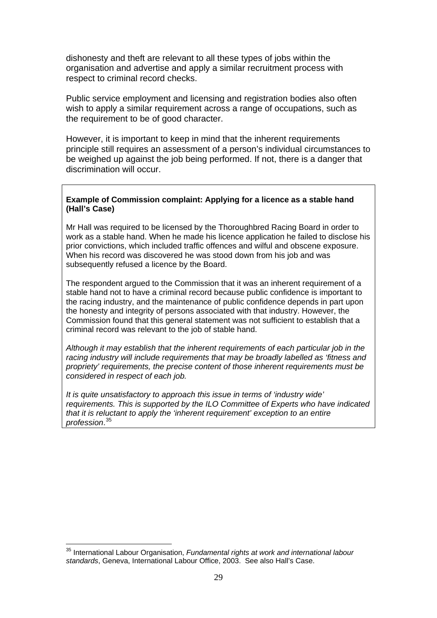dishonesty and theft are relevant to all these types of jobs within the organisation and advertise and apply a similar recruitment process with respect to criminal record checks.

Public service employment and licensing and registration bodies also often wish to apply a similar requirement across a range of occupations, such as the requirement to be of good character.

However, it is important to keep in mind that the inherent requirements principle still requires an assessment of a person's individual circumstances to be weighed up against the job being performed. If not, there is a danger that discrimination will occur.

#### **Example of Commission complaint: Applying for a licence as a stable hand (Hall's Case)**

Mr Hall was required to be licensed by the Thoroughbred Racing Board in order to work as a stable hand. When he made his licence application he failed to disclose his prior convictions, which included traffic offences and wilful and obscene exposure. When his record was discovered he was stood down from his job and was subsequently refused a licence by the Board.

The respondent argued to the Commission that it was an inherent requirement of a stable hand not to have a criminal record because public confidence is important to the racing industry, and the maintenance of public confidence depends in part upon the honesty and integrity of persons associated with that industry. However, the Commission found that this general statement was not sufficient to establish that a criminal record was relevant to the job of stable hand.

*Although it may establish that the inherent requirements of each particular job in the racing industry will include requirements that may be broadly labelled as 'fitness and propriety' requirements, the precise content of those inherent requirements must be considered in respect of each job.* 

*It is quite unsatisfactory to approach this issue in terms of 'industry wide' requirements. This is supported by the ILO Committee of Experts who have indicated that it is reluctant to apply the 'inherent requirement' exception to an entire profession*. [35](#page-28-0)

<u>.</u>

<span id="page-28-0"></span><sup>35</sup> International Labour Organisation, *Fundamental rights at work and international labour standards*, Geneva, International Labour Office, 2003. See also Hall's Case.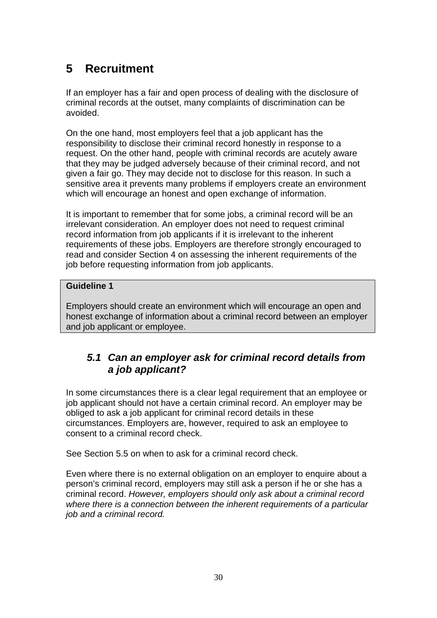# <span id="page-29-0"></span>**5 Recruitment**

If an employer has a fair and open process of dealing with the disclosure of criminal records at the outset, many complaints of discrimination can be avoided.

On the one hand, most employers feel that a job applicant has the responsibility to disclose their criminal record honestly in response to a request. On the other hand, people with criminal records are acutely aware that they may be judged adversely because of their criminal record, and not given a fair go. They may decide not to disclose for this reason. In such a sensitive area it prevents many problems if employers create an environment which will encourage an honest and open exchange of information.

It is important to remember that for some jobs, a criminal record will be an irrelevant consideration. An employer does not need to request criminal record information from job applicants if it is irrelevant to the inherent requirements of these jobs. Employers are therefore strongly encouraged to read and consider Section 4 on assessing the inherent requirements of the job before requesting information from job applicants.

## **Guideline 1**

Employers should create an environment which will encourage an open and honest exchange of information about a criminal record between an employer and job applicant or employee.

## *5.1 Can an employer ask for criminal record details from a job applicant?*

In some circumstances there is a clear legal requirement that an employee or job applicant should not have a certain criminal record. An employer may be obliged to ask a job applicant for criminal record details in these circumstances. Employers are, however, required to ask an employee to consent to a criminal record check.

See Section 5.5 on when to ask for a criminal record check.

Even where there is no external obligation on an employer to enquire about a person's criminal record, employers may still ask a person if he or she has a criminal record. *However, employers should only ask about a criminal record where there is a connection between the inherent requirements of a particular job and a criminal record.*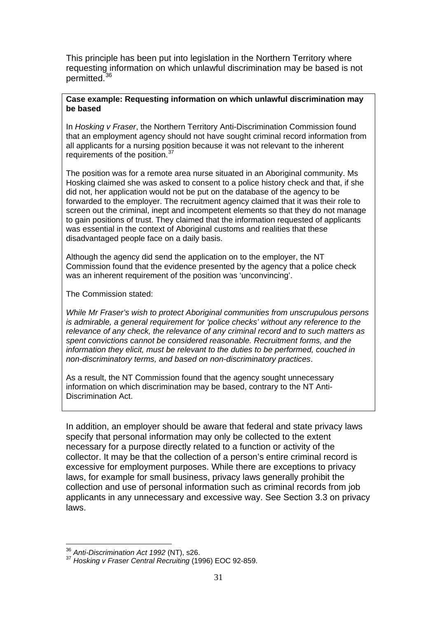This principle has been put into legislation in the Northern Territory where requesting information on which unlawful discrimination may be based is not permitted.[36](#page-30-0)

#### **Case example: Requesting information on which unlawful discrimination may be based**

In *Hosking v Fraser*, the Northern Territory Anti-Discrimination Commission found that an employment agency should not have sought criminal record information from all applicants for a nursing position because it was not relevant to the inherent requirements of the position.<sup>[37](#page-30-1)</sup>

The position was for a remote area nurse situated in an Aboriginal community. Ms Hosking claimed she was asked to consent to a police history check and that, if she did not, her application would not be put on the database of the agency to be forwarded to the employer. The recruitment agency claimed that it was their role to screen out the criminal, inept and incompetent elements so that they do not manage to gain positions of trust. They claimed that the information requested of applicants was essential in the context of Aboriginal customs and realities that these disadvantaged people face on a daily basis.

Although the agency did send the application on to the employer, the NT Commission found that the evidence presented by the agency that a police check was an inherent requirement of the position was 'unconvincing'.

The Commission stated:

*While Mr Fraser's wish to protect Aboriginal communities from unscrupulous persons is admirable, a general requirement for 'police checks' without any reference to the relevance of any check, the relevance of any criminal record and to such matters as spent convictions cannot be considered reasonable. Recruitment forms, and the information they elicit, must be relevant to the duties to be performed, couched in non-discriminatory terms, and based on non-discriminatory practices*.

As a result, the NT Commission found that the agency sought unnecessary information on which discrimination may be based, contrary to the NT Anti-Discrimination Act.

In addition, an employer should be aware that federal and state privacy laws specify that personal information may only be collected to the extent necessary for a purpose directly related to a function or activity of the collector. It may be that the collection of a person's entire criminal record is excessive for employment purposes. While there are exceptions to privacy laws, for example for small business, privacy laws generally prohibit the collection and use of personal information such as criminal records from job applicants in any unnecessary and excessive way. See Section 3.3 on privacy laws.

<sup>&</sup>lt;u>.</u>

<span id="page-30-1"></span><span id="page-30-0"></span><sup>&</sup>lt;sup>36</sup> Anti-Discrimination Act 1992 (NT), s26.<br><sup>37</sup> Hosking v Fraser Central Recruiting (1996) EOC 92-859.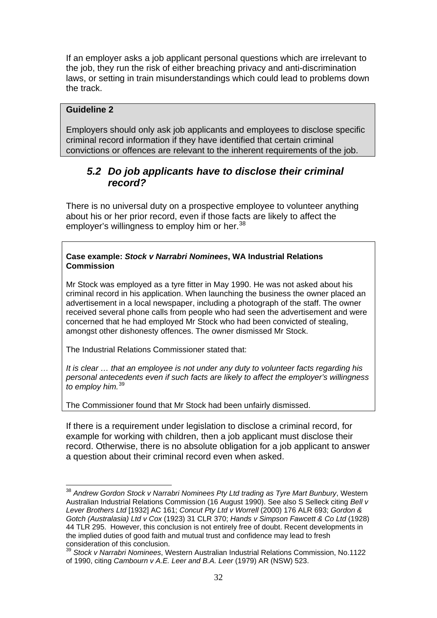<span id="page-31-0"></span>If an employer asks a job applicant personal questions which are irrelevant to the job, they run the risk of either breaching privacy and anti-discrimination laws, or setting in train misunderstandings which could lead to problems down the track.

## **Guideline 2**

1

Employers should only ask job applicants and employees to disclose specific criminal record information if they have identified that certain criminal convictions or offences are relevant to the inherent requirements of the job.

## *5.2 Do job applicants have to disclose their criminal record?*

There is no universal duty on a prospective employee to volunteer anything about his or her prior record, even if those facts are likely to affect the employer's willingness to employ him or her.<sup>[38](#page-31-1)</sup>

#### **Case example:** *Stock v Narrabri Nominees***, WA Industrial Relations Commission**

Mr Stock was employed as a tyre fitter in May 1990. He was not asked about his criminal record in his application. When launching the business the owner placed an advertisement in a local newspaper, including a photograph of the staff. The owner received several phone calls from people who had seen the advertisement and were concerned that he had employed Mr Stock who had been convicted of stealing, amongst other dishonesty offences. The owner dismissed Mr Stock.

The Industrial Relations Commissioner stated that:

*It is clear … that an employee is not under any duty to volunteer facts regarding his personal antecedents even if such facts are likely to affect the employer's willingness to employ him.*[39](#page-31-2)

The Commissioner found that Mr Stock had been unfairly dismissed.

If there is a requirement under legislation to disclose a criminal record, for example for working with children, then a job applicant must disclose their record. Otherwise, there is no absolute obligation for a job applicant to answer a question about their criminal record even when asked.

<span id="page-31-1"></span><sup>38</sup> *Andrew Gordon Stock v Narrabri Nominees Pty Ltd trading as Tyre Mart Bunbury*, Western Australian Industrial Relations Commission (16 August 1990). See also S Selleck citing *Bell v Lever Brothers Ltd* [1932] AC 161; *Concut Pty Ltd v Worrell* (2000) 176 ALR 693; *Gordon & Gotch (Australasia) Ltd v Cox* (1923) 31 CLR 370; *Hands v Simpson Fawcett & Co Ltd* (1928) 44 TLR 295. However, this conclusion is not entirely free of doubt. Recent developments in the implied duties of good faith and mutual trust and confidence may lead to fresh consideration of this conclusion.

<span id="page-31-2"></span><sup>39</sup> *Stock v Narrabri Nominees*, Western Australian Industrial Relations Commission, No.1122 of 1990, citing *Cambourn v A.E. Leer and B.A. Leer* (1979) AR (NSW) 523.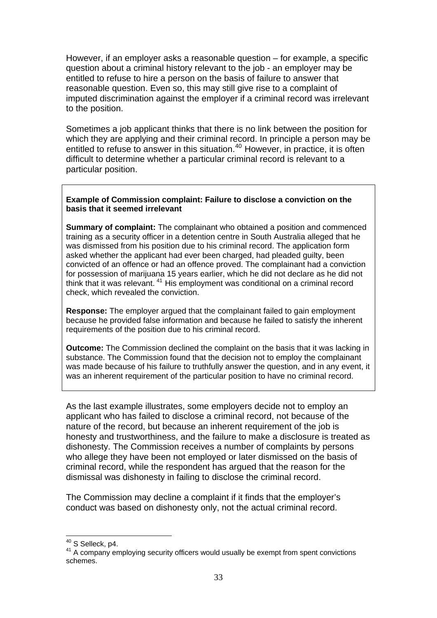However, if an employer asks a reasonable question – for example, a specific question about a criminal history relevant to the job - an employer may be entitled to refuse to hire a person on the basis of failure to answer that reasonable question. Even so, this may still give rise to a complaint of imputed discrimination against the employer if a criminal record was irrelevant to the position.

Sometimes a job applicant thinks that there is no link between the position for which they are applying and their criminal record. In principle a person may be entitled to refuse to answer in this situation.<sup>[40](#page-32-0)</sup> However, in practice, it is often difficult to determine whether a particular criminal record is relevant to a particular position.

#### **Example of Commission complaint: Failure to disclose a conviction on the basis that it seemed irrelevant**

**Summary of complaint:** The complainant who obtained a position and commenced training as a security officer in a detention centre in South Australia alleged that he was dismissed from his position due to his criminal record. The application form asked whether the applicant had ever been charged, had pleaded guilty, been convicted of an offence or had an offence proved. The complainant had a conviction for possession of marijuana 15 years earlier, which he did not declare as he did not think that it was relevant.<sup>[41](#page-32-1)</sup> His employment was conditional on a criminal record check, which revealed the conviction.

**Response:** The employer argued that the complainant failed to gain employment because he provided false information and because he failed to satisfy the inherent requirements of the position due to his criminal record.

**Outcome:** The Commission declined the complaint on the basis that it was lacking in substance. The Commission found that the decision not to employ the complainant was made because of his failure to truthfully answer the question, and in any event, it was an inherent requirement of the particular position to have no criminal record.

As the last example illustrates, some employers decide not to employ an applicant who has failed to disclose a criminal record, not because of the nature of the record, but because an inherent requirement of the job is honesty and trustworthiness, and the failure to make a disclosure is treated as dishonesty. The Commission receives a number of complaints by persons who allege they have been not employed or later dismissed on the basis of criminal record, while the respondent has argued that the reason for the dismissal was dishonesty in failing to disclose the criminal record.

The Commission may decline a complaint if it finds that the employer's conduct was based on dishonesty only, not the actual criminal record.

1

<span id="page-32-1"></span><span id="page-32-0"></span> $40$  S Selleck, p4.<br> $41$  A company emploving security officers would usually be exempt from spent convictions schemes.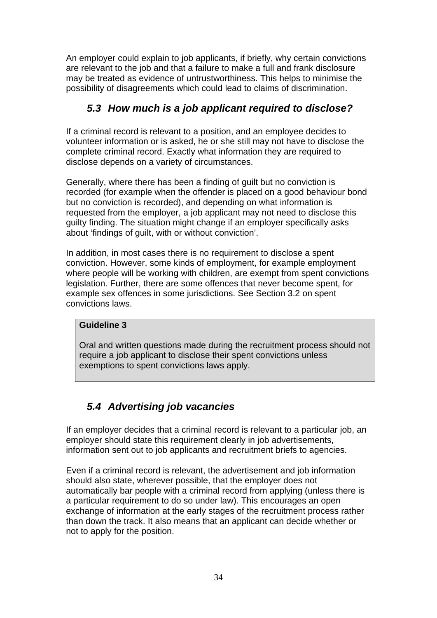<span id="page-33-0"></span>An employer could explain to job applicants, if briefly, why certain convictions are relevant to the job and that a failure to make a full and frank disclosure may be treated as evidence of untrustworthiness. This helps to minimise the possibility of disagreements which could lead to claims of discrimination.

# *5.3 How much is a job applicant required to disclose?*

If a criminal record is relevant to a position, and an employee decides to volunteer information or is asked, he or she still may not have to disclose the complete criminal record. Exactly what information they are required to disclose depends on a variety of circumstances.

Generally, where there has been a finding of guilt but no conviction is recorded (for example when the offender is placed on a good behaviour bond but no conviction is recorded), and depending on what information is requested from the employer, a job applicant may not need to disclose this guilty finding. The situation might change if an employer specifically asks about 'findings of guilt, with or without conviction'.

In addition, in most cases there is no requirement to disclose a spent conviction. However, some kinds of employment, for example employment where people will be working with children, are exempt from spent convictions legislation. Further, there are some offences that never become spent, for example sex offences in some jurisdictions. See Section 3.2 on spent convictions laws.

## **Guideline 3**

Oral and written questions made during the recruitment process should not require a job applicant to disclose their spent convictions unless exemptions to spent convictions laws apply.

# *5.4 Advertising job vacancies*

If an employer decides that a criminal record is relevant to a particular job, an employer should state this requirement clearly in job advertisements, information sent out to job applicants and recruitment briefs to agencies.

Even if a criminal record is relevant, the advertisement and job information should also state, wherever possible, that the employer does not automatically bar people with a criminal record from applying (unless there is a particular requirement to do so under law). This encourages an open exchange of information at the early stages of the recruitment process rather than down the track. It also means that an applicant can decide whether or not to apply for the position.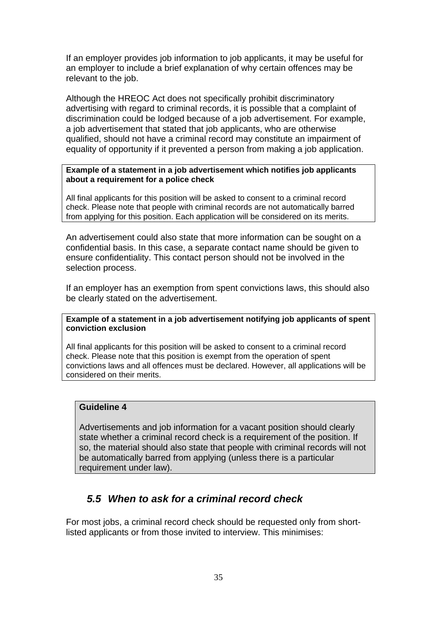<span id="page-34-0"></span>If an employer provides job information to job applicants, it may be useful for an employer to include a brief explanation of why certain offences may be relevant to the job.

Although the HREOC Act does not specifically prohibit discriminatory advertising with regard to criminal records, it is possible that a complaint of discrimination could be lodged because of a job advertisement. For example, a job advertisement that stated that job applicants, who are otherwise qualified, should not have a criminal record may constitute an impairment of equality of opportunity if it prevented a person from making a job application.

#### **Example of a statement in a job advertisement which notifies job applicants about a requirement for a police check**

All final applicants for this position will be asked to consent to a criminal record check. Please note that people with criminal records are not automatically barred from applying for this position. Each application will be considered on its merits.

An advertisement could also state that more information can be sought on a confidential basis. In this case, a separate contact name should be given to ensure confidentiality. This contact person should not be involved in the selection process.

If an employer has an exemption from spent convictions laws, this should also be clearly stated on the advertisement.

**Example of a statement in a job advertisement notifying job applicants of spent conviction exclusion** 

All final applicants for this position will be asked to consent to a criminal record check. Please note that this position is exempt from the operation of spent convictions laws and all offences must be declared. However, all applications will be considered on their merits.

## **Guideline 4**

Advertisements and job information for a vacant position should clearly state whether a criminal record check is a requirement of the position. If so, the material should also state that people with criminal records will not be automatically barred from applying (unless there is a particular requirement under law).

# *5.5 When to ask for a criminal record check*

For most jobs, a criminal record check should be requested only from shortlisted applicants or from those invited to interview. This minimises: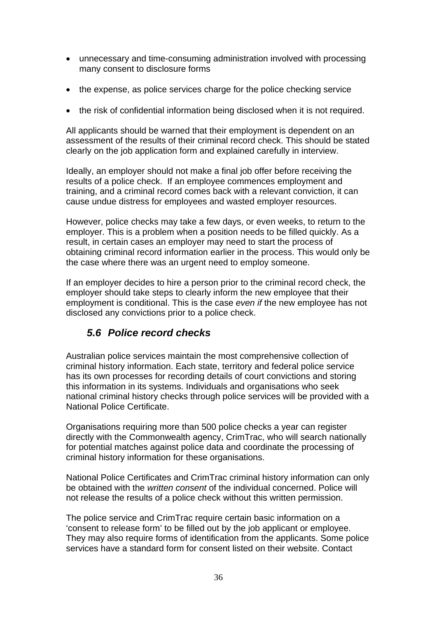- <span id="page-35-0"></span>• unnecessary and time-consuming administration involved with processing many consent to disclosure forms
- the expense, as police services charge for the police checking service
- the risk of confidential information being disclosed when it is not required.

All applicants should be warned that their employment is dependent on an assessment of the results of their criminal record check. This should be stated clearly on the job application form and explained carefully in interview.

Ideally, an employer should not make a final job offer before receiving the results of a police check. If an employee commences employment and training, and a criminal record comes back with a relevant conviction, it can cause undue distress for employees and wasted employer resources.

However, police checks may take a few days, or even weeks, to return to the employer. This is a problem when a position needs to be filled quickly. As a result, in certain cases an employer may need to start the process of obtaining criminal record information earlier in the process. This would only be the case where there was an urgent need to employ someone.

If an employer decides to hire a person prior to the criminal record check, the employer should take steps to clearly inform the new employee that their employment is conditional. This is the case *even if* the new employee has not disclosed any convictions prior to a police check.

# *5.6 Police record checks*

Australian police services maintain the most comprehensive collection of criminal history information. Each state, territory and federal police service has its own processes for recording details of court convictions and storing this information in its systems. Individuals and organisations who seek national criminal history checks through police services will be provided with a National Police Certificate.

Organisations requiring more than 500 police checks a year can register directly with the Commonwealth agency, CrimTrac, who will search nationally for potential matches against police data and coordinate the processing of criminal history information for these organisations.

National Police Certificates and CrimTrac criminal history information can only be obtained with the *written consent* of the individual concerned. Police will not release the results of a police check without this written permission.

The police service and CrimTrac require certain basic information on a 'consent to release form' to be filled out by the job applicant or employee. They may also require forms of identification from the applicants. Some police services have a standard form for consent listed on their website. Contact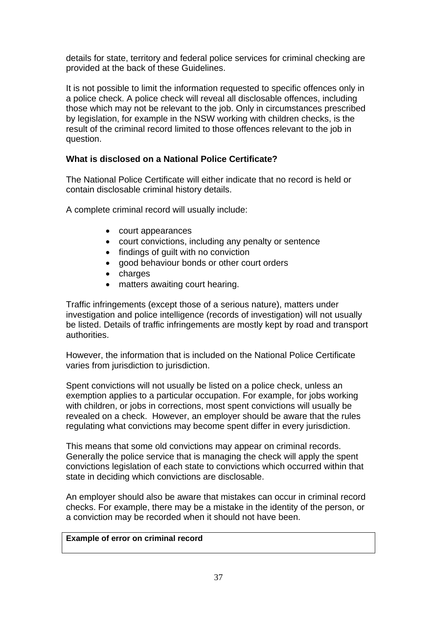details for state, territory and federal police services for criminal checking are provided at the back of these Guidelines.

It is not possible to limit the information requested to specific offences only in a police check. A police check will reveal all disclosable offences, including those which may not be relevant to the job. Only in circumstances prescribed by legislation, for example in the NSW working with children checks, is the result of the criminal record limited to those offences relevant to the job in question.

## **What is disclosed on a National Police Certificate?**

The National Police Certificate will either indicate that no record is held or contain disclosable criminal history details.

A complete criminal record will usually include:

- court appearances
- court convictions, including any penalty or sentence
- findings of guilt with no conviction
- good behaviour bonds or other court orders
- charges
- matters awaiting court hearing.

Traffic infringements (except those of a serious nature), matters under investigation and police intelligence (records of investigation) will not usually be listed. Details of traffic infringements are mostly kept by road and transport authorities.

However, the information that is included on the National Police Certificate varies from jurisdiction to jurisdiction.

Spent convictions will not usually be listed on a police check, unless an exemption applies to a particular occupation. For example, for jobs working with children, or jobs in corrections, most spent convictions will usually be revealed on a check. However, an employer should be aware that the rules regulating what convictions may become spent differ in every jurisdiction.

This means that some old convictions may appear on criminal records. Generally the police service that is managing the check will apply the spent convictions legislation of each state to convictions which occurred within that state in deciding which convictions are disclosable.

An employer should also be aware that mistakes can occur in criminal record checks. For example, there may be a mistake in the identity of the person, or a conviction may be recorded when it should not have been.

## **Example of error on criminal record**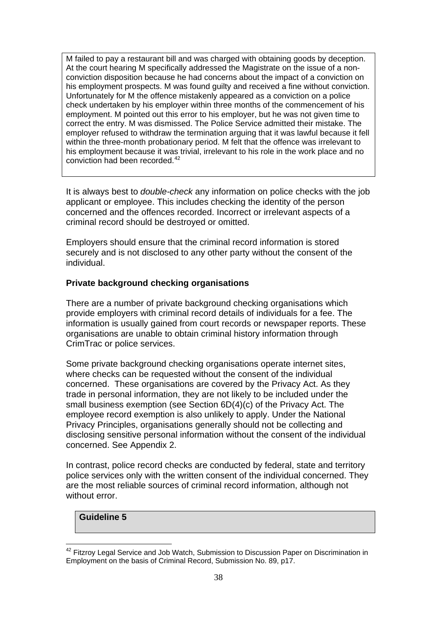M failed to pay a restaurant bill and was charged with obtaining goods by deception. At the court hearing M specifically addressed the Magistrate on the issue of a nonconviction disposition because he had concerns about the impact of a conviction on his employment prospects. M was found guilty and received a fine without conviction. Unfortunately for M the offence mistakenly appeared as a conviction on a police check undertaken by his employer within three months of the commencement of his employment. M pointed out this error to his employer, but he was not given time to correct the entry. M was dismissed. The Police Service admitted their mistake. The employer refused to withdraw the termination arguing that it was lawful because it fell within the three-month probationary period. M felt that the offence was irrelevant to his employment because it was trivial, irrelevant to his role in the work place and no conviction had been recorded.<sup>[42](#page-37-0)</sup>

It is always best to *double-check* any information on police checks with the job applicant or employee. This includes checking the identity of the person concerned and the offences recorded. Incorrect or irrelevant aspects of a criminal record should be destroyed or omitted.

Employers should ensure that the criminal record information is stored securely and is not disclosed to any other party without the consent of the individual.

## **Private background checking organisations**

There are a number of private background checking organisations which provide employers with criminal record details of individuals for a fee. The information is usually gained from court records or newspaper reports. These organisations are unable to obtain criminal history information through CrimTrac or police services.

Some private background checking organisations operate internet sites, where checks can be requested without the consent of the individual concerned. These organisations are covered by the Privacy Act. As they trade in personal information, they are not likely to be included under the small business exemption (see Section 6D(4)(c) of the Privacy Act. The employee record exemption is also unlikely to apply. Under the National Privacy Principles, organisations generally should not be collecting and disclosing sensitive personal information without the consent of the individual concerned. See Appendix 2.

In contrast, police record checks are conducted by federal, state and territory police services only with the written consent of the individual concerned. They are the most reliable sources of criminal record information, although not without error.

## **Guideline 5**

<span id="page-37-0"></span><sup>&</sup>lt;u>.</u> <sup>42</sup> Fitzroy Legal Service and Job Watch, Submission to Discussion Paper on Discrimination in Employment on the basis of Criminal Record, Submission No. 89, p17.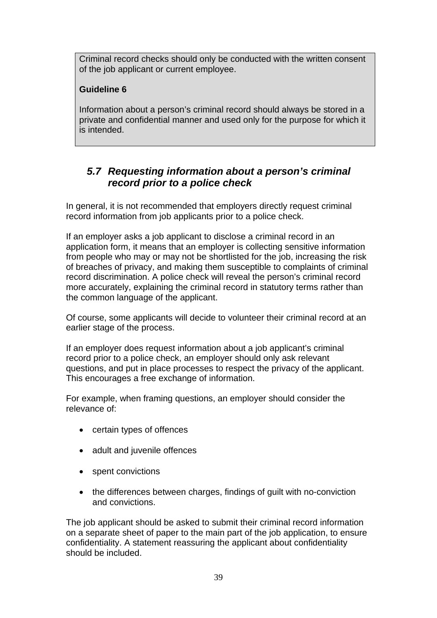<span id="page-38-0"></span>Criminal record checks should only be conducted with the written consent of the job applicant or current employee.

## **Guideline 6**

Information about a person's criminal record should always be stored in a private and confidential manner and used only for the purpose for which it is intended.

## *5.7 Requesting information about a person's criminal record prior to a police check*

In general, it is not recommended that employers directly request criminal record information from job applicants prior to a police check.

If an employer asks a job applicant to disclose a criminal record in an application form, it means that an employer is collecting sensitive information from people who may or may not be shortlisted for the job, increasing the risk of breaches of privacy, and making them susceptible to complaints of criminal record discrimination. A police check will reveal the person's criminal record more accurately, explaining the criminal record in statutory terms rather than the common language of the applicant.

Of course, some applicants will decide to volunteer their criminal record at an earlier stage of the process.

If an employer does request information about a job applicant's criminal record prior to a police check, an employer should only ask relevant questions, and put in place processes to respect the privacy of the applicant. This encourages a free exchange of information.

For example, when framing questions, an employer should consider the relevance of:

- certain types of offences
- adult and juvenile offences
- spent convictions
- the differences between charges, findings of guilt with no-conviction and convictions.

The job applicant should be asked to submit their criminal record information on a separate sheet of paper to the main part of the job application, to ensure confidentiality. A statement reassuring the applicant about confidentiality should be included.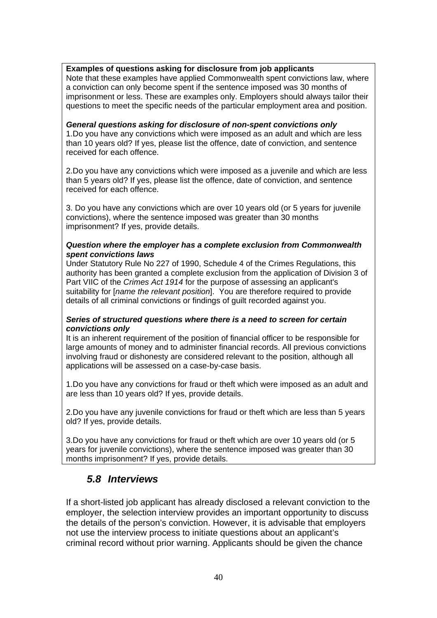### <span id="page-39-0"></span>**Examples of questions asking for disclosure from job applicants**

Note that these examples have applied Commonwealth spent convictions law, where a conviction can only become spent if the sentence imposed was 30 months of imprisonment or less. These are examples only. Employers should always tailor their questions to meet the specific needs of the particular employment area and position.

#### *General questions asking for disclosure of non-spent convictions only*

1.Do you have any convictions which were imposed as an adult and which are less than 10 years old? If yes, please list the offence, date of conviction, and sentence received for each offence.

2.Do you have any convictions which were imposed as a juvenile and which are less than 5 years old? If yes, please list the offence, date of conviction, and sentence received for each offence.

3. Do you have any convictions which are over 10 years old (or 5 years for juvenile convictions), where the sentence imposed was greater than 30 months imprisonment? If yes, provide details.

#### *Question where the employer has a complete exclusion from Commonwealth spent convictions laws*

Under Statutory Rule No 227 of 1990, Schedule 4 of the Crimes Regulations, this authority has been granted a complete exclusion from the application of Division 3 of Part VIIC of the *Crimes Act 1914* for the purpose of assessing an applicant's suitability for [*name the relevant position*]. You are therefore required to provide details of all criminal convictions or findings of guilt recorded against you.

#### *Series of structured questions where there is a need to screen for certain convictions only*

It is an inherent requirement of the position of financial officer to be responsible for large amounts of money and to administer financial records. All previous convictions involving fraud or dishonesty are considered relevant to the position, although all applications will be assessed on a case-by-case basis.

1.Do you have any convictions for fraud or theft which were imposed as an adult and are less than 10 years old? If yes, provide details.

2.Do you have any juvenile convictions for fraud or theft which are less than 5 years old? If yes, provide details.

3.Do you have any convictions for fraud or theft which are over 10 years old (or 5 years for juvenile convictions), where the sentence imposed was greater than 30 months imprisonment? If yes, provide details.

## *5.8 Interviews*

If a short-listed job applicant has already disclosed a relevant conviction to the employer, the selection interview provides an important opportunity to discuss the details of the person's conviction. However, it is advisable that employers not use the interview process to initiate questions about an applicant's criminal record without prior warning. Applicants should be given the chance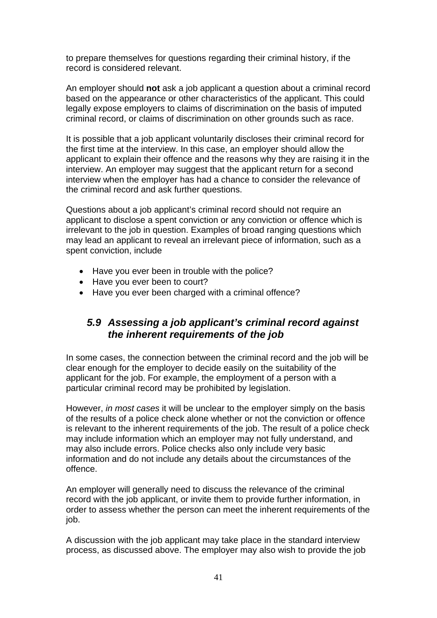<span id="page-40-0"></span>to prepare themselves for questions regarding their criminal history, if the record is considered relevant.

An employer should **not** ask a job applicant a question about a criminal record based on the appearance or other characteristics of the applicant. This could legally expose employers to claims of discrimination on the basis of imputed criminal record, or claims of discrimination on other grounds such as race.

It is possible that a job applicant voluntarily discloses their criminal record for the first time at the interview. In this case, an employer should allow the applicant to explain their offence and the reasons why they are raising it in the interview. An employer may suggest that the applicant return for a second interview when the employer has had a chance to consider the relevance of the criminal record and ask further questions.

Questions about a job applicant's criminal record should not require an applicant to disclose a spent conviction or any conviction or offence which is irrelevant to the job in question. Examples of broad ranging questions which may lead an applicant to reveal an irrelevant piece of information, such as a spent conviction, include

- Have you ever been in trouble with the police?
- Have you ever been to court?
- Have you ever been charged with a criminal offence?

## *5.9 Assessing a job applicant's criminal record against the inherent requirements of the job*

In some cases, the connection between the criminal record and the job will be clear enough for the employer to decide easily on the suitability of the applicant for the job. For example, the employment of a person with a particular criminal record may be prohibited by legislation.

However, *in most cases* it will be unclear to the employer simply on the basis of the results of a police check alone whether or not the conviction or offence is relevant to the inherent requirements of the job. The result of a police check may include information which an employer may not fully understand, and may also include errors. Police checks also only include very basic information and do not include any details about the circumstances of the offence.

An employer will generally need to discuss the relevance of the criminal record with the job applicant, or invite them to provide further information, in order to assess whether the person can meet the inherent requirements of the job.

A discussion with the job applicant may take place in the standard interview process, as discussed above. The employer may also wish to provide the job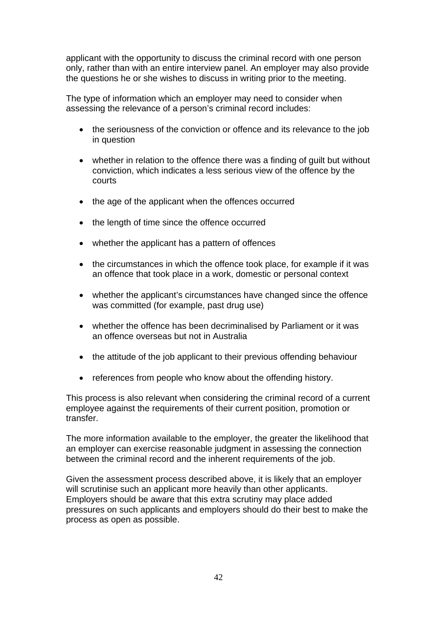applicant with the opportunity to discuss the criminal record with one person only, rather than with an entire interview panel. An employer may also provide the questions he or she wishes to discuss in writing prior to the meeting.

The type of information which an employer may need to consider when assessing the relevance of a person's criminal record includes:

- the seriousness of the conviction or offence and its relevance to the job in question
- whether in relation to the offence there was a finding of guilt but without conviction, which indicates a less serious view of the offence by the courts
- the age of the applicant when the offences occurred
- the length of time since the offence occurred
- whether the applicant has a pattern of offences
- the circumstances in which the offence took place, for example if it was an offence that took place in a work, domestic or personal context
- whether the applicant's circumstances have changed since the offence was committed (for example, past drug use)
- whether the offence has been decriminalised by Parliament or it was an offence overseas but not in Australia
- the attitude of the job applicant to their previous offending behaviour
- references from people who know about the offending history.

This process is also relevant when considering the criminal record of a current employee against the requirements of their current position, promotion or transfer.

The more information available to the employer, the greater the likelihood that an employer can exercise reasonable judgment in assessing the connection between the criminal record and the inherent requirements of the job.

Given the assessment process described above, it is likely that an employer will scrutinise such an applicant more heavily than other applicants. Employers should be aware that this extra scrutiny may place added pressures on such applicants and employers should do their best to make the process as open as possible.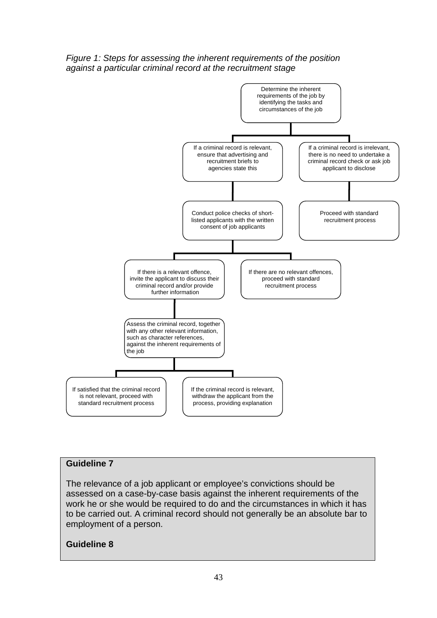



## **Guideline 7**

The relevance of a job applicant or employee's convictions should be assessed on a case-by-case basis against the inherent requirements of the work he or she would be required to do and the circumstances in which it has to be carried out. A criminal record should not generally be an absolute bar to employment of a person.

#### **Guideline 8**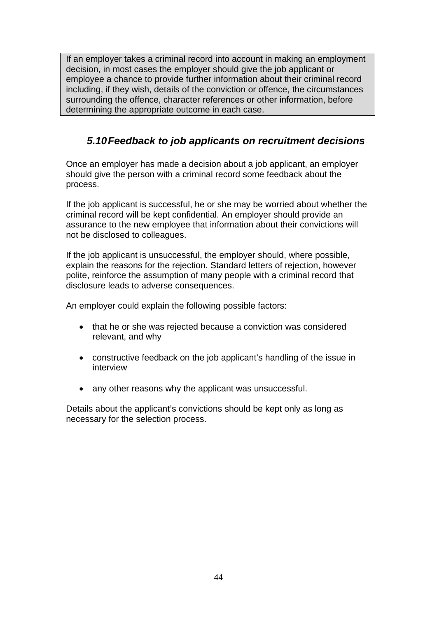<span id="page-43-0"></span>If an employer takes a criminal record into account in making an employment decision, in most cases the employer should give the job applicant or employee a chance to provide further information about their criminal record including, if they wish, details of the conviction or offence, the circumstances surrounding the offence, character references or other information, before determining the appropriate outcome in each case.

# *5.10 Feedback to job applicants on recruitment decisions*

Once an employer has made a decision about a job applicant, an employer should give the person with a criminal record some feedback about the process.

If the job applicant is successful, he or she may be worried about whether the criminal record will be kept confidential. An employer should provide an assurance to the new employee that information about their convictions will not be disclosed to colleagues.

If the job applicant is unsuccessful, the employer should, where possible, explain the reasons for the rejection. Standard letters of rejection, however polite, reinforce the assumption of many people with a criminal record that disclosure leads to adverse consequences.

An employer could explain the following possible factors:

- that he or she was rejected because a conviction was considered relevant, and why
- constructive feedback on the job applicant's handling of the issue in interview
- any other reasons why the applicant was unsuccessful.

Details about the applicant's convictions should be kept only as long as necessary for the selection process.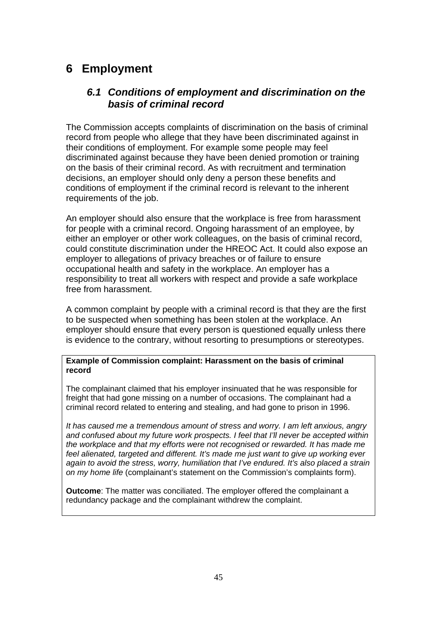# <span id="page-44-0"></span>**6 Employment**

## *6.1 Conditions of employment and discrimination on the basis of criminal record*

The Commission accepts complaints of discrimination on the basis of criminal record from people who allege that they have been discriminated against in their conditions of employment. For example some people may feel discriminated against because they have been denied promotion or training on the basis of their criminal record. As with recruitment and termination decisions, an employer should only deny a person these benefits and conditions of employment if the criminal record is relevant to the inherent requirements of the job.

An employer should also ensure that the workplace is free from harassment for people with a criminal record. Ongoing harassment of an employee, by either an employer or other work colleagues, on the basis of criminal record, could constitute discrimination under the HREOC Act. It could also expose an employer to allegations of privacy breaches or of failure to ensure occupational health and safety in the workplace. An employer has a responsibility to treat all workers with respect and provide a safe workplace free from harassment.

A common complaint by people with a criminal record is that they are the first to be suspected when something has been stolen at the workplace. An employer should ensure that every person is questioned equally unless there is evidence to the contrary, without resorting to presumptions or stereotypes.

#### **Example of Commission complaint: Harassment on the basis of criminal record**

The complainant claimed that his employer insinuated that he was responsible for freight that had gone missing on a number of occasions. The complainant had a criminal record related to entering and stealing, and had gone to prison in 1996.

*It has caused me a tremendous amount of stress and worry. I am left anxious, angry and confused about my future work prospects. I feel that I'll never be accepted within the workplace and that my efforts were not recognised or rewarded. It has made me feel alienated, targeted and different. It's made me just want to give up working ever again to avoid the stress, worry, humiliation that I've endured. It's also placed a strain on my home life* (complainant's statement on the Commission's complaints form).

**Outcome**: The matter was conciliated. The employer offered the complainant a redundancy package and the complainant withdrew the complaint.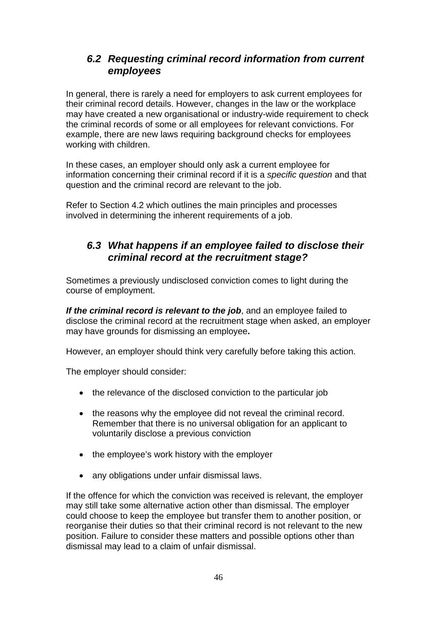# <span id="page-45-0"></span>*6.2 Requesting criminal record information from current employees*

In general, there is rarely a need for employers to ask current employees for their criminal record details. However, changes in the law or the workplace may have created a new organisational or industry-wide requirement to check the criminal records of some or all employees for relevant convictions. For example, there are new laws requiring background checks for employees working with children.

In these cases, an employer should only ask a current employee for information concerning their criminal record if it is a *specific question* and that question and the criminal record are relevant to the job.

Refer to Section 4.2 which outlines the main principles and processes involved in determining the inherent requirements of a job.

## *6.3 What happens if an employee failed to disclose their criminal record at the recruitment stage?*

Sometimes a previously undisclosed conviction comes to light during the course of employment.

*If the criminal record is relevant to the job*, and an employee failed to disclose the criminal record at the recruitment stage when asked, an employer may have grounds for dismissing an employee**.** 

However, an employer should think very carefully before taking this action.

The employer should consider:

- the relevance of the disclosed conviction to the particular job
- the reasons why the employee did not reveal the criminal record. Remember that there is no universal obligation for an applicant to voluntarily disclose a previous conviction
- the employee's work history with the employer
- any obligations under unfair dismissal laws.

If the offence for which the conviction was received is relevant, the employer may still take some alternative action other than dismissal. The employer could choose to keep the employee but transfer them to another position, or reorganise their duties so that their criminal record is not relevant to the new position. Failure to consider these matters and possible options other than dismissal may lead to a claim of unfair dismissal.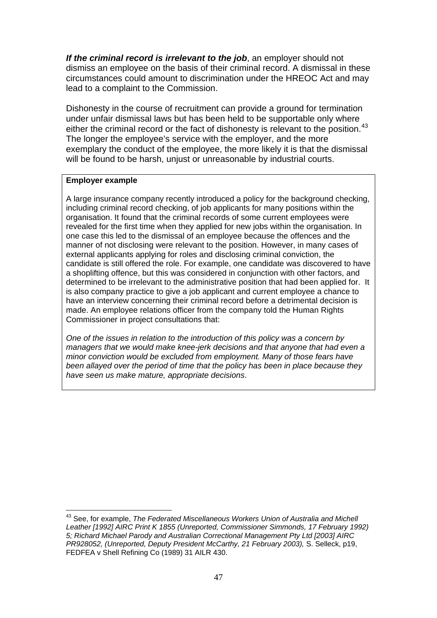*If the criminal record is irrelevant to the job*, an employer should not dismiss an employee on the basis of their criminal record. A dismissal in these circumstances could amount to discrimination under the HREOC Act and may lead to a complaint to the Commission.

Dishonesty in the course of recruitment can provide a ground for termination under unfair dismissal laws but has been held to be supportable only where either the criminal record or the fact of dishonesty is relevant to the position.<sup>[43](#page-46-0)</sup> The longer the employee's service with the employer, and the more exemplary the conduct of the employee, the more likely it is that the dismissal will be found to be harsh, unjust or unreasonable by industrial courts.

### **Employer example**

A large insurance company recently introduced a policy for the background checking, including criminal record checking, of job applicants for many positions within the organisation. It found that the criminal records of some current employees were revealed for the first time when they applied for new jobs within the organisation. In one case this led to the dismissal of an employee because the offences and the manner of not disclosing were relevant to the position. However, in many cases of external applicants applying for roles and disclosing criminal conviction, the candidate is still offered the role. For example, one candidate was discovered to have a shoplifting offence, but this was considered in conjunction with other factors, and determined to be irrelevant to the administrative position that had been applied for. It is also company practice to give a job applicant and current employee a chance to have an interview concerning their criminal record before a detrimental decision is made. An employee relations officer from the company told the Human Rights Commissioner in project consultations that:

*One of the issues in relation to the introduction of this policy was a concern by managers that we would make knee-jerk decisions and that anyone that had even a minor conviction would be excluded from employment. Many of those fears have been allayed over the period of time that the policy has been in place because they have seen us make mature, appropriate decisions*.

<span id="page-46-0"></span><sup>1</sup> 43 See, for example, *The Federated Miscellaneous Workers Union of Australia and Michell Leather [1992] AIRC Print K 1855 (Unreported, Commissioner Simmonds, 17 February 1992) 5; Richard Michael Parody and Australian Correctional Management Pty Ltd [2003] AIRC PR928052, (Unreported, Deputy President McCarthy, 21 February 2003),* S. Selleck, p19, FEDFEA v Shell Refining Co (1989) 31 AILR 430.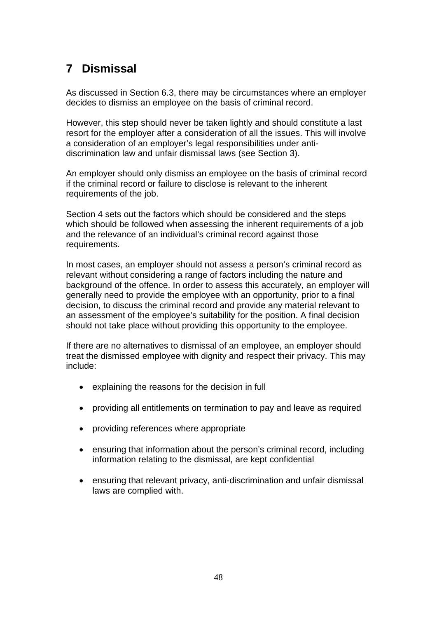# <span id="page-47-0"></span>**7 Dismissal**

As discussed in Section 6.3, there may be circumstances where an employer decides to dismiss an employee on the basis of criminal record.

However, this step should never be taken lightly and should constitute a last resort for the employer after a consideration of all the issues. This will involve a consideration of an employer's legal responsibilities under antidiscrimination law and unfair dismissal laws (see Section 3).

An employer should only dismiss an employee on the basis of criminal record if the criminal record or failure to disclose is relevant to the inherent requirements of the job.

Section 4 sets out the factors which should be considered and the steps which should be followed when assessing the inherent requirements of a job and the relevance of an individual's criminal record against those requirements.

In most cases, an employer should not assess a person's criminal record as relevant without considering a range of factors including the nature and background of the offence. In order to assess this accurately, an employer will generally need to provide the employee with an opportunity, prior to a final decision, to discuss the criminal record and provide any material relevant to an assessment of the employee's suitability for the position. A final decision should not take place without providing this opportunity to the employee.

If there are no alternatives to dismissal of an employee, an employer should treat the dismissed employee with dignity and respect their privacy. This may include:

- explaining the reasons for the decision in full
- providing all entitlements on termination to pay and leave as required
- providing references where appropriate
- ensuring that information about the person's criminal record, including information relating to the dismissal, are kept confidential
- ensuring that relevant privacy, anti-discrimination and unfair dismissal laws are complied with.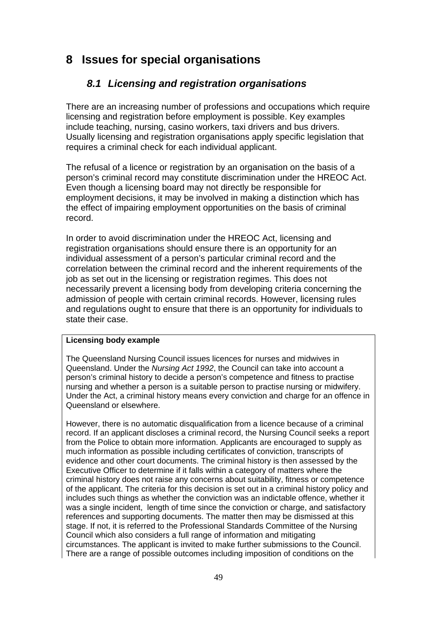# <span id="page-48-0"></span>**8 Issues for special organisations**

# *8.1 Licensing and registration organisations*

There are an increasing number of professions and occupations which require licensing and registration before employment is possible. Key examples include teaching, nursing, casino workers, taxi drivers and bus drivers. Usually licensing and registration organisations apply specific legislation that requires a criminal check for each individual applicant.

The refusal of a licence or registration by an organisation on the basis of a person's criminal record may constitute discrimination under the HREOC Act. Even though a licensing board may not directly be responsible for employment decisions, it may be involved in making a distinction which has the effect of impairing employment opportunities on the basis of criminal record.

In order to avoid discrimination under the HREOC Act, licensing and registration organisations should ensure there is an opportunity for an individual assessment of a person's particular criminal record and the correlation between the criminal record and the inherent requirements of the job as set out in the licensing or registration regimes. This does not necessarily prevent a licensing body from developing criteria concerning the admission of people with certain criminal records. However, licensing rules and regulations ought to ensure that there is an opportunity for individuals to state their case.

## **Licensing body example**

The Queensland Nursing Council issues licences for nurses and midwives in Queensland. Under the *Nursing Act 1992*, the Council can take into account a person's criminal history to decide a person's competence and fitness to practise nursing and whether a person is a suitable person to practise nursing or midwifery. Under the Act, a criminal history means every conviction and charge for an offence in Queensland or elsewhere.

However, there is no automatic disqualification from a licence because of a criminal record. If an applicant discloses a criminal record, the Nursing Council seeks a report from the Police to obtain more information. Applicants are encouraged to supply as much information as possible including certificates of conviction, transcripts of evidence and other court documents. The criminal history is then assessed by the Executive Officer to determine if it falls within a category of matters where the criminal history does not raise any concerns about suitability, fitness or competence of the applicant. The criteria for this decision is set out in a criminal history policy and includes such things as whether the conviction was an indictable offence, whether it was a single incident, length of time since the conviction or charge, and satisfactory references and supporting documents. The matter then may be dismissed at this stage. If not, it is referred to the Professional Standards Committee of the Nursing Council which also considers a full range of information and mitigating circumstances. The applicant is invited to make further submissions to the Council. There are a range of possible outcomes including imposition of conditions on the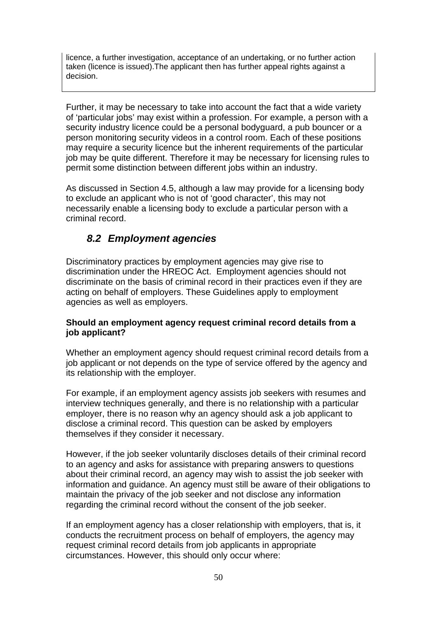<span id="page-49-0"></span>licence, a further investigation, acceptance of an undertaking, or no further action taken (licence is issued).The applicant then has further appeal rights against a decision.

Further, it may be necessary to take into account the fact that a wide variety of 'particular jobs' may exist within a profession. For example, a person with a security industry licence could be a personal bodyguard, a pub bouncer or a person monitoring security videos in a control room. Each of these positions may require a security licence but the inherent requirements of the particular job may be quite different. Therefore it may be necessary for licensing rules to permit some distinction between different jobs within an industry.

As discussed in Section 4.5, although a law may provide for a licensing body to exclude an applicant who is not of 'good character', this may not necessarily enable a licensing body to exclude a particular person with a criminal record.

# *8.2 Employment agencies*

Discriminatory practices by employment agencies may give rise to discrimination under the HREOC Act. Employment agencies should not discriminate on the basis of criminal record in their practices even if they are acting on behalf of employers. These Guidelines apply to employment agencies as well as employers.

## **Should an employment agency request criminal record details from a job applicant?**

Whether an employment agency should request criminal record details from a job applicant or not depends on the type of service offered by the agency and its relationship with the employer.

For example, if an employment agency assists job seekers with resumes and interview techniques generally, and there is no relationship with a particular employer, there is no reason why an agency should ask a job applicant to disclose a criminal record. This question can be asked by employers themselves if they consider it necessary.

However, if the job seeker voluntarily discloses details of their criminal record to an agency and asks for assistance with preparing answers to questions about their criminal record, an agency may wish to assist the job seeker with information and guidance. An agency must still be aware of their obligations to maintain the privacy of the job seeker and not disclose any information regarding the criminal record without the consent of the job seeker.

If an employment agency has a closer relationship with employers, that is, it conducts the recruitment process on behalf of employers, the agency may request criminal record details from job applicants in appropriate circumstances. However, this should only occur where: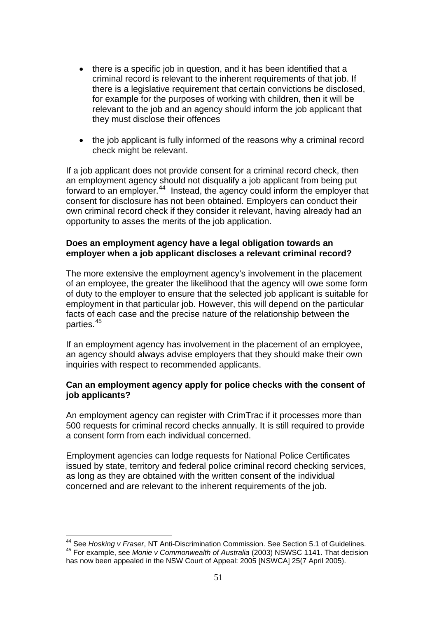- there is a specific job in question, and it has been identified that a criminal record is relevant to the inherent requirements of that job. If there is a legislative requirement that certain convictions be disclosed, for example for the purposes of working with children, then it will be relevant to the job and an agency should inform the job applicant that they must disclose their offences
- the job applicant is fully informed of the reasons why a criminal record check might be relevant.

If a job applicant does not provide consent for a criminal record check, then an employment agency should not disqualify a job applicant from being put forward to an employer.<sup>[44](#page-50-0)</sup> Instead, the agency could inform the employer that consent for disclosure has not been obtained. Employers can conduct their own criminal record check if they consider it relevant, having already had an opportunity to asses the merits of the job application.

## **Does an employment agency have a legal obligation towards an employer when a job applicant discloses a relevant criminal record?**

The more extensive the employment agency's involvement in the placement of an employee, the greater the likelihood that the agency will owe some form of duty to the employer to ensure that the selected job applicant is suitable for employment in that particular job. However, this will depend on the particular facts of each case and the precise nature of the relationship between the parties.[45](#page-50-1)

If an employment agency has involvement in the placement of an employee, an agency should always advise employers that they should make their own inquiries with respect to recommended applicants.

## **Can an employment agency apply for police checks with the consent of job applicants?**

An employment agency can register with CrimTrac if it processes more than 500 requests for criminal record checks annually. It is still required to provide a consent form from each individual concerned.

Employment agencies can lodge requests for National Police Certificates issued by state, territory and federal police criminal record checking services, as long as they are obtained with the written consent of the individual concerned and are relevant to the inherent requirements of the job.

1

<span id="page-50-1"></span><span id="page-50-0"></span><sup>44</sup> See *Hosking v Fraser*, NT Anti-Discrimination Commission. See Section 5.1 of Guidelines. 45 For example, see *Monie v Commonwealth of Australia* (2003) NSWSC 1141. That decision has now been appealed in the NSW Court of Appeal: 2005 [NSWCA] 25(7 April 2005).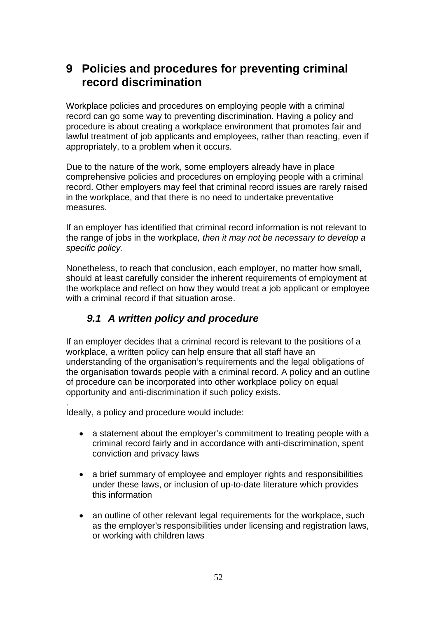# <span id="page-51-0"></span>**9 Policies and procedures for preventing criminal record discrimination**

Workplace policies and procedures on employing people with a criminal record can go some way to preventing discrimination. Having a policy and procedure is about creating a workplace environment that promotes fair and lawful treatment of job applicants and employees, rather than reacting, even if appropriately, to a problem when it occurs.

Due to the nature of the work, some employers already have in place comprehensive policies and procedures on employing people with a criminal record. Other employers may feel that criminal record issues are rarely raised in the workplace, and that there is no need to undertake preventative measures.

If an employer has identified that criminal record information is not relevant to the range of jobs in the workplace*, then it may not be necessary to develop a specific policy.* 

Nonetheless, to reach that conclusion, each employer, no matter how small, should at least carefully consider the inherent requirements of employment at the workplace and reflect on how they would treat a job applicant or employee with a criminal record if that situation arose.

# *9.1 A written policy and procedure*

If an employer decides that a criminal record is relevant to the positions of a workplace, a written policy can help ensure that all staff have an understanding of the organisation's requirements and the legal obligations of the organisation towards people with a criminal record. A policy and an outline of procedure can be incorporated into other workplace policy on equal opportunity and anti-discrimination if such policy exists.

. Ideally, a policy and procedure would include:

- a statement about the employer's commitment to treating people with a criminal record fairly and in accordance with anti-discrimination, spent conviction and privacy laws
- a brief summary of employee and employer rights and responsibilities under these laws, or inclusion of up-to-date literature which provides this information
- an outline of other relevant legal requirements for the workplace, such as the employer's responsibilities under licensing and registration laws, or working with children laws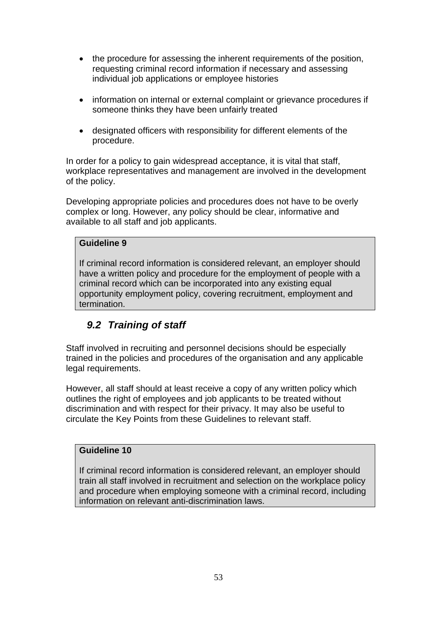- <span id="page-52-0"></span>• the procedure for assessing the inherent requirements of the position, requesting criminal record information if necessary and assessing individual job applications or employee histories
- information on internal or external complaint or grievance procedures if someone thinks they have been unfairly treated
- designated officers with responsibility for different elements of the procedure.

In order for a policy to gain widespread acceptance, it is vital that staff, workplace representatives and management are involved in the development of the policy.

Developing appropriate policies and procedures does not have to be overly complex or long. However, any policy should be clear, informative and available to all staff and job applicants.

## **Guideline 9**

If criminal record information is considered relevant, an employer should have a written policy and procedure for the employment of people with a criminal record which can be incorporated into any existing equal opportunity employment policy, covering recruitment, employment and termination.

# *9.2 Training of staff*

Staff involved in recruiting and personnel decisions should be especially trained in the policies and procedures of the organisation and any applicable legal requirements.

However, all staff should at least receive a copy of any written policy which outlines the right of employees and job applicants to be treated without discrimination and with respect for their privacy. It may also be useful to circulate the Key Points from these Guidelines to relevant staff.

## **Guideline 10**

If criminal record information is considered relevant, an employer should train all staff involved in recruitment and selection on the workplace policy and procedure when employing someone with a criminal record, including information on relevant anti-discrimination laws.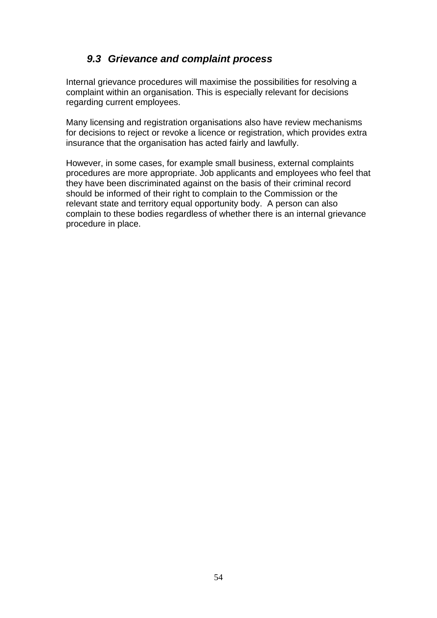# *9.3 Grievance and complaint process*

<span id="page-53-0"></span>Internal grievance procedures will maximise the possibilities for resolving a complaint within an organisation. This is especially relevant for decisions regarding current employees.

Many licensing and registration organisations also have review mechanisms for decisions to reject or revoke a licence or registration, which provides extra insurance that the organisation has acted fairly and lawfully.

However, in some cases, for example small business, external complaints procedures are more appropriate. Job applicants and employees who feel that they have been discriminated against on the basis of their criminal record should be informed of their right to complain to the Commission or the relevant state and territory equal opportunity body. A person can also complain to these bodies regardless of whether there is an internal grievance procedure in place.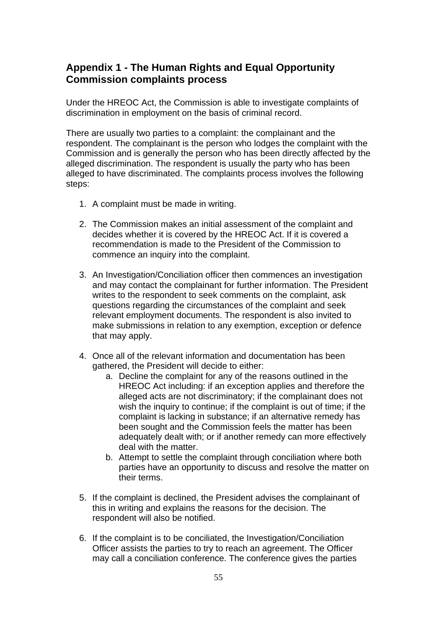## <span id="page-54-0"></span>**Appendix 1 - The Human Rights and Equal Opportunity Commission complaints process**

Under the HREOC Act, the Commission is able to investigate complaints of discrimination in employment on the basis of criminal record.

There are usually two parties to a complaint: the complainant and the respondent. The complainant is the person who lodges the complaint with the Commission and is generally the person who has been directly affected by the alleged discrimination. The respondent is usually the party who has been alleged to have discriminated. The complaints process involves the following steps:

- 1. A complaint must be made in writing.
- 2. The Commission makes an initial assessment of the complaint and decides whether it is covered by the HREOC Act. If it is covered a recommendation is made to the President of the Commission to commence an inquiry into the complaint.
- 3. An Investigation/Conciliation officer then commences an investigation and may contact the complainant for further information. The President writes to the respondent to seek comments on the complaint, ask questions regarding the circumstances of the complaint and seek relevant employment documents. The respondent is also invited to make submissions in relation to any exemption, exception or defence that may apply.
- 4. Once all of the relevant information and documentation has been gathered, the President will decide to either:
	- a. Decline the complaint for any of the reasons outlined in the HREOC Act including: if an exception applies and therefore the alleged acts are not discriminatory; if the complainant does not wish the inquiry to continue; if the complaint is out of time; if the complaint is lacking in substance; if an alternative remedy has been sought and the Commission feels the matter has been adequately dealt with; or if another remedy can more effectively deal with the matter.
	- b. Attempt to settle the complaint through conciliation where both parties have an opportunity to discuss and resolve the matter on their terms.
- 5. If the complaint is declined, the President advises the complainant of this in writing and explains the reasons for the decision. The respondent will also be notified.
- 6. If the complaint is to be conciliated, the Investigation/Conciliation Officer assists the parties to try to reach an agreement. The Officer may call a conciliation conference. The conference gives the parties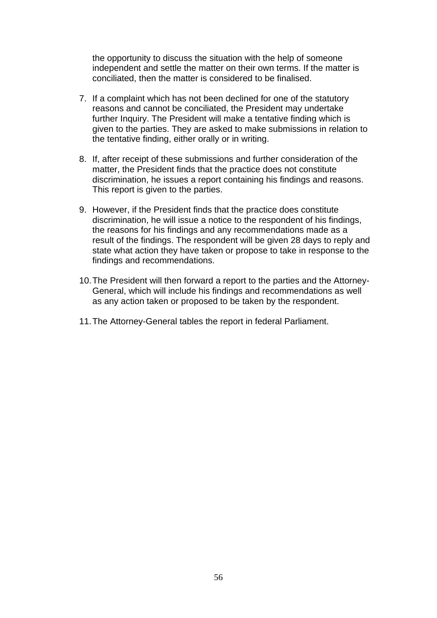the opportunity to discuss the situation with the help of someone independent and settle the matter on their own terms. If the matter is conciliated, then the matter is considered to be finalised.

- 7. If a complaint which has not been declined for one of the statutory reasons and cannot be conciliated, the President may undertake further Inquiry. The President will make a tentative finding which is given to the parties. They are asked to make submissions in relation to the tentative finding, either orally or in writing.
- 8. If, after receipt of these submissions and further consideration of the matter, the President finds that the practice does not constitute discrimination, he issues a report containing his findings and reasons. This report is given to the parties.
- 9. However, if the President finds that the practice does constitute discrimination, he will issue a notice to the respondent of his findings, the reasons for his findings and any recommendations made as a result of the findings. The respondent will be given 28 days to reply and state what action they have taken or propose to take in response to the findings and recommendations.
- 10. The President will then forward a report to the parties and the Attorney-General, which will include his findings and recommendations as well as any action taken or proposed to be taken by the respondent.
- 11. The Attorney-General tables the report in federal Parliament.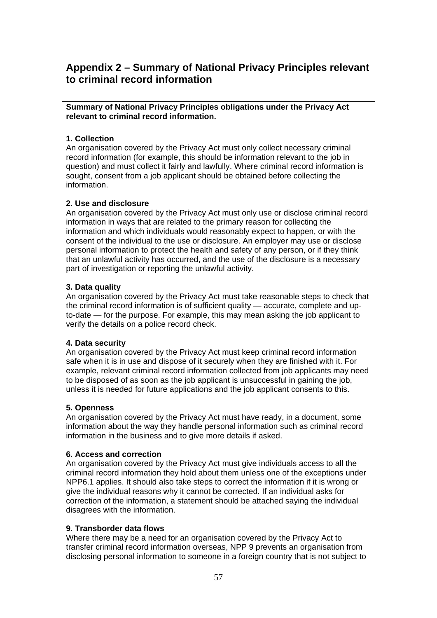# <span id="page-56-0"></span>**Appendix 2 – Summary of National Privacy Principles relevant to criminal record information**

**Summary of National Privacy Principles obligations under the Privacy Act relevant to criminal record information.** 

### **1. Collection**

An organisation covered by the Privacy Act must only collect necessary criminal record information (for example, this should be information relevant to the job in question) and must collect it fairly and lawfully. Where criminal record information is sought, consent from a job applicant should be obtained before collecting the information.

### **2. Use and disclosure**

An organisation covered by the Privacy Act must only use or disclose criminal record information in ways that are related to the primary reason for collecting the information and which individuals would reasonably expect to happen, or with the consent of the individual to the use or disclosure. An employer may use or disclose personal information to protect the health and safety of any person, or if they think that an unlawful activity has occurred, and the use of the disclosure is a necessary part of investigation or reporting the unlawful activity.

### **3. Data quality**

An organisation covered by the Privacy Act must take reasonable steps to check that the criminal record information is of sufficient quality — accurate, complete and upto-date — for the purpose. For example, this may mean asking the job applicant to verify the details on a police record check.

#### **4. Data security**

An organisation covered by the Privacy Act must keep criminal record information safe when it is in use and dispose of it securely when they are finished with it. For example, relevant criminal record information collected from job applicants may need to be disposed of as soon as the job applicant is unsuccessful in gaining the job, unless it is needed for future applications and the job applicant consents to this.

#### **5. Openness**

An organisation covered by the Privacy Act must have ready, in a document, some information about the way they handle personal information such as criminal record information in the business and to give more details if asked.

#### **6. Access and correction**

An organisation covered by the Privacy Act must give individuals access to all the criminal record information they hold about them unless one of the exceptions under NPP6.1 applies. It should also take steps to correct the information if it is wrong or give the individual reasons why it cannot be corrected. If an individual asks for correction of the information, a statement should be attached saying the individual disagrees with the information.

#### **9. Transborder data flows**

Where there may be a need for an organisation covered by the Privacy Act to transfer criminal record information overseas, NPP 9 prevents an organisation from disclosing personal information to someone in a foreign country that is not subject to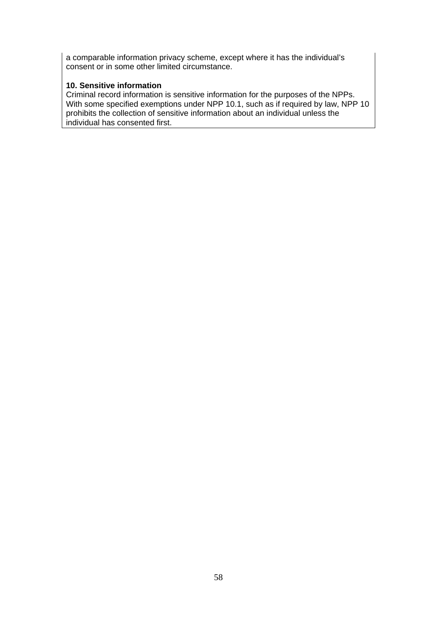a comparable information privacy scheme, except where it has the individual's consent or in some other limited circumstance.

## **10. Sensitive information**

Criminal record information is sensitive information for the purposes of the NPPs. With some specified exemptions under NPP 10.1, such as if required by law, NPP 10 prohibits the collection of sensitive information about an individual unless the individual has consented first.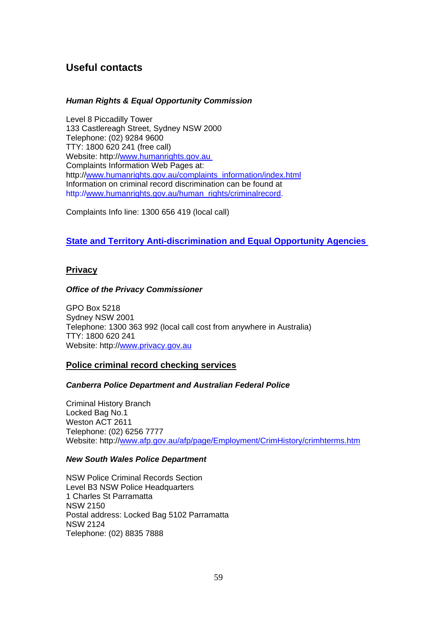# <span id="page-58-0"></span>**Useful contacts**

#### *Human Rights & Equal Opportunity Commission*

Level 8 Piccadilly Tower 133 Castlereagh Street, Sydney NSW 2000 Telephone: (02) 9284 9600 TTY: 1800 620 241 (free call) Website: http:/[/www.humanrights.gov.au](www.humanrights.gov.au%20)  Complaints Information Web Pages at: http://[www.humanrights.gov.au/complaints\\_information/index.html](www.humanrights.gov.au/complaints_information/index.html) Information on criminal record discrimination can be found at http://[www.humanrights.gov.au/human\\_rights/criminalrecord.](http://www.humanrights.gov.au/human_rights/criminalrecord)

Complaints Info line: 1300 656 419 (local call)

## **[State and Territory Anti-discrimination and Equal Opportunity Agencies](http://www.humanrights.gov.au/links/index.html#ad)**

### **Privacy**

#### *Office of the Privacy Commissioner*

GPO Box 5218 Sydney NSW 2001 Telephone: 1300 363 992 (local call cost from anywhere in Australia) TTY: 1800 620 241 Website: http:/[/www.privacy.gov.au](http://www.privacy.gov.au/)

#### **Police criminal record checking services**

#### *Canberra Police Department and Australian Federal Police*

Criminal History Branch Locked Bag No.1 Weston ACT 2611 Telephone: (02) 6256 7777 Website: http:/[/www.afp.gov.au/afp/page/Employment/CrimHistory/crimhterms.htm](http://www.afp.gov.au/afp/page/Employment/CrimHistory/crimhterms.htm)

#### *New South Wales Police Department*

NSW Police Criminal Records Section Level B3 NSW Police Headquarters 1 Charles St Parramatta NSW 2150 Postal address: Locked Bag 5102 Parramatta NSW 2124 Telephone: (02) 8835 7888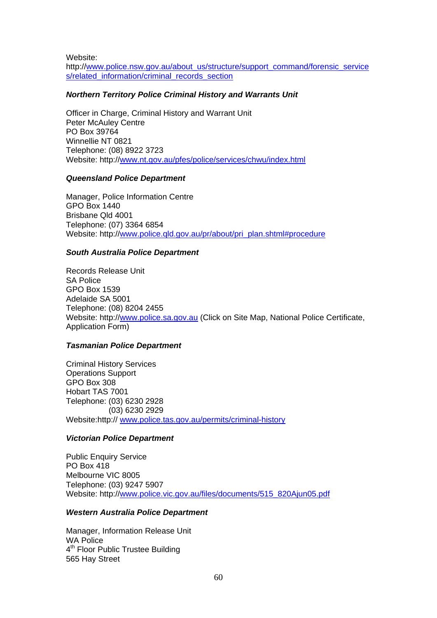Website:

http://[www.police.nsw.gov.au/about\\_us/structure/support\\_command/forensic\\_service](www.police.nsw.gov.au/about_us/structure/support_command/forensic_services/related_information/criminal_records_section) [s/related\\_information/criminal\\_records\\_section](www.police.nsw.gov.au/about_us/structure/support_command/forensic_services/related_information/criminal_records_section)

#### *Northern Territory Police Criminal History and Warrants Unit*

Officer in Charge, Criminal History and Warrant Unit Peter McAuley Centre PO Box 39764 Winnellie NT 0821 Telephone: (08) 8922 3723 Website: http:/[/www.nt.gov.au/pfes/police/services/chwu/index.html](http://www.nt.gov.au/pfes/police/services/chwu/index.html)

#### *Queensland Police Department*

Manager, Police Information Centre GPO Box 1440 Brisbane Qld 4001 Telephone: (07) 3364 6854 Website: http:/[/www.police.qld.gov.au/pr/about/pri\\_plan.shtml#procedure](http://www.police.qld.gov.au/pr/about/pri_plan.shtml#procedure)

#### *South Australia Police Department*

Records Release Unit SA Police GPO Box 1539 Adelaide SA 5001 Telephone: (08) 8204 2455 Website: http:/[/www.police.sa.gov.au](http://www.police.sa.gov.au/) (Click on Site Map, National Police Certificate, Application Form)

#### *Tasmanian Police Department*

Criminal History Services Operations Support GPO Box 308 Hobart TAS 7001 Telephone: (03) 6230 2928 (03) 6230 2929 Website:http:// [www.police.tas.gov.au/permits/criminal-history](http://www.police.tas.gov.au/permits/criminal-history)

#### *Victorian Police Department*

Public Enquiry Service PO Box 418 Melbourne VIC 8005 Telephone: (03) 9247 5907 Website: http:/[/www.police.vic.gov.au/files/documents/515\\_820Ajun05.pdf](http://www.police.vic.gov.au/files/documents/515_820Ajun05.pdf)

#### *Western Australia Police Department*

Manager, Information Release Unit WA Police 4<sup>th</sup> Floor Public Trustee Building 565 Hay Street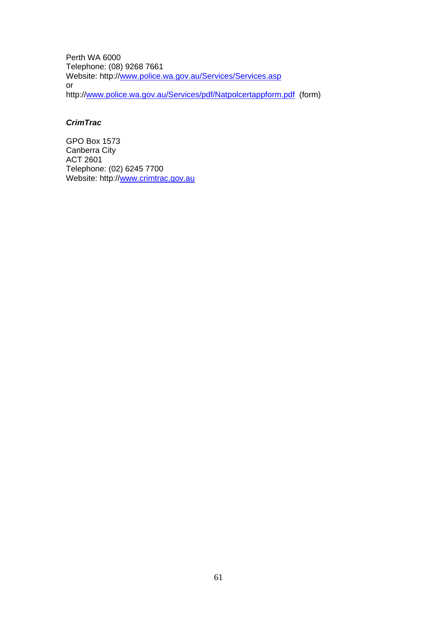Perth WA 6000 Telephone: (08) 9268 7661 Website: http:/[/www.police.wa.gov.au/Services/Services.asp](http://www.police.wa.gov.au/Services/Services.asp) or http://[www.police.wa.gov.au/Services/pdf/Natpolcertappform.pdf](http://www.police.wa.gov.au/Services/pdf/Natpolcertappform.pdf) (form)

### *CrimTrac*

GPO Box 1573 Canberra City ACT 2601 Telephone: (02) 6245 7700 Website: http:/[/www.crimtrac.gov.au](http://www.crimtrac.gov.au/)